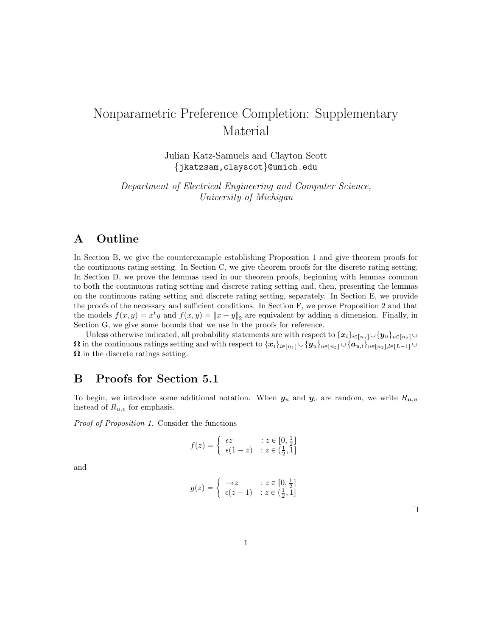# <span id="page-0-1"></span>Nonparametric Preference Completion: Supplementary Material

Julian Katz-Samuels and Clayton Scott {jkatzsam,clayscot}@umich.edu

Department of Electrical Engineering and Computer Science, University of Michigan

# A Outline

In Section [B,](#page-0-0) we give the counterexample establishing Proposition 1 and give theorem proofs for the continuous rating setting. In Section [C,](#page-3-0) we give theorem proofs for the discrete rating setting. In Section [D,](#page-7-0) we prove the lemmas used in our theorem proofs, beginning with lemmas common to both the continuous rating setting and discrete rating setting and, then, presenting the lemmas on the continuous rating setting and discrete rating setting, separately. In Section [E,](#page-17-0) we provide the proofs of the necessary and sufficient conditions. In Section [F,](#page-19-0) we prove Proposition 2 and that the models  $f(x, y) = x^t y$  and  $f(x, y) = ||x - y||_2$  are equivalent by adding a dimension. Finally, in Section [G,](#page-20-0) we give some bounds that we use in the proofs for reference.

Unless otherwise indicated, all probability statements are with respect to  $\{x_i\}_{i\in[n_1]}\cup\{y_u\}_{u\in[n_2]}\cup\{y_u\}_{u\in[n_3]}$  $\Omega$  in the continuous ratings setting and with respect to  $\{x_i\}_{i\in[n_1]}\cup\{y_u\}_{u\in[n_2]}\cup\{a_{u,l}\}_{u\in[n_2],l\in[L-1]}\cup\{a_{u,l}\}_{l\in[L]}$  $\Omega$  in the discrete ratings setting.

# <span id="page-0-0"></span>B Proofs for Section 5.1

To begin, we introduce some additional notation. When  $y_u$  and  $y_v$  are random, we write  $R_{u,v}$ instead of  $R_{u,v}$  for emphasis.

Proof of Proposition 1. Consider the functions

$$
f(z) = \begin{cases} \epsilon z & \text{: } z \in [0, \frac{1}{2}] \\ \epsilon (1 - z) & \text{: } z \in (\frac{1}{2}, 1] \end{cases}
$$

and

$$
g(z) = \begin{cases} -\epsilon z & \text{if } z \in [0, \frac{1}{2}]\\ \epsilon(z - 1) & \text{if } z \in (\frac{1}{2}, 1] \end{cases}
$$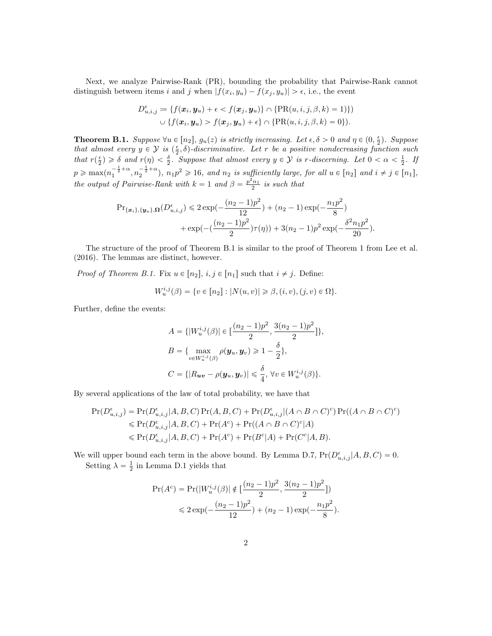Next, we analyze Pairwise-Rank (PR), bounding the probability that Pairwise-Rank cannot distinguish between items i and j when  $|f(x_i, y_u) - f(x_j, y_u)| > \epsilon$ , i.e., the event

$$
D_{u,i,j}^{\epsilon} := \{f(\boldsymbol{x}_i, \boldsymbol{y}_u) + \epsilon < f(\boldsymbol{x}_j, \boldsymbol{y}_u)\} \cap \{\text{PR}(u,i,j,\beta,k) = 1)\})
$$
\n
$$
\cup \{f(\boldsymbol{x}_i, \boldsymbol{y}_u) > f(\boldsymbol{x}_j, \boldsymbol{y}_u) + \epsilon\} \cap \{\text{PR}(u,i,j,\beta,k) = 0\}).
$$

<span id="page-1-0"></span>**Theorem B.1.** Suppose  $\forall u \in [n_2], g_u(z)$  is strictly increasing. Let  $\epsilon, \delta > 0$  and  $\eta \in (0, \frac{\epsilon}{2})$ . Suppose that almost every  $y \in \mathcal{Y}$  is  $\left(\frac{\epsilon}{2}, \delta\right)$ -discriminative. Let r be a positive nondecreasing function such that  $r(\frac{\epsilon}{2}) \geq \delta$  and  $r(\eta) < \frac{\delta}{2}$ . Suppose that almost every  $y \in \mathcal{Y}$  is r-discerning. Let  $0 < \alpha < \frac{1}{2}$ . If  $p \geqslant \max(n_1^{-\frac{1}{2}+\alpha}, n_2^{-\frac{1}{2}+\alpha})$ ,  $n_1p^2 \geqslant 16$ , and  $n_2$  is sufficiently large, for all  $u \in [n_2]$  and  $i \neq j \in [n_1]$ , the output of Pairwise-Rank with  $k = 1$  and  $\beta = \frac{p^2 n_1}{2}$  is such that

$$
\Pr_{\{\boldsymbol{x}_i\},\{\boldsymbol{y}_u\},\Omega}(D_{u,i,j}^{\epsilon}) \leq 2 \exp(-\frac{(n_2-1)p^2}{12}) + (n_2-1)\exp(-\frac{n_1p^2}{8}) + \exp(-(\frac{(n_2-1)p^2}{2})\tau(\eta)) + 3(n_2-1)p^2 \exp(-\frac{\delta^2 n_1p^2}{20}).
$$

The structure of the proof of Theorem [B.1](#page-1-0) is similar to the proof of Theorem 1 from [Lee et al.](#page-20-1) [\(2016\)](#page-20-1). The lemmas are distinct, however.

*Proof of Theorem [B.1.](#page-1-0)* Fix  $u \in [n_2], i, j \in [n_1]$  such that  $i \neq j$ . Define:

$$
W_u^{i,j}(\beta) = \{ v \in [n_2] : |N(u, v)| \ge \beta, (i, v), (j, v) \in \Omega \}.
$$

Further, define the events:

$$
A = \{ |W_u^{i,j}(\beta)| \in \left[\frac{(n_2 - 1)p^2}{2}, \frac{3(n_2 - 1)p^2}{2}\right] \},\
$$
  

$$
B = \{ \max_{v \in W_u^{i,j}(\beta)} \rho(\mathbf{y}_u, \mathbf{y}_v) \ge 1 - \frac{\delta}{2} \},\
$$
  

$$
C = \{ |R_{uv} - \rho(\mathbf{y}_u, \mathbf{y}_v)| \le \frac{\delta}{4}, \forall v \in W_u^{i,j}(\beta) \}.
$$

By several applications of the law of total probability, we have that

$$
\Pr(D_{u,i,j}^{\epsilon}) = \Pr(D_{u,i,j}^{\epsilon}|A, B, C) \Pr(A, B, C) + \Pr(D_{u,i,j}^{\epsilon}|(A \cap B \cap C)^{c}) \Pr((A \cap B \cap C)^{c})
$$
  
\$\leq\$ 
$$
\Pr(D_{u,i,j}^{\epsilon}|A, B, C) + \Pr(A^{c}) + \Pr((A \cap B \cap C)^{c}|A)
$$
  
\$\leq\$ 
$$
\Pr(D_{u,i,j}^{\epsilon}|A, B, C) + \Pr(A^{c}) + \Pr(B^{c}|A) + \Pr(C^{c}|A, B).
$$

We will upper bound each term in the above bound. By Lemma [D.7,](#page-11-0)  $Pr(D_{u,i,j}^{\epsilon}|A, B, C) = 0$ . Setting  $\lambda = \frac{1}{2}$  in Lemma [D.1](#page-7-1) yields that

$$
\Pr(A^c) = \Pr(|W_u^{i,j}(\beta)| \notin \left[\frac{(n_2 - 1)p^2}{2}, \frac{3(n_2 - 1)p^2}{2}\right])
$$
  
\$\leq 2 \exp(-\frac{(n\_2 - 1)p^2}{12}) + (n\_2 - 1) \exp(-\frac{n\_1p^2}{8}).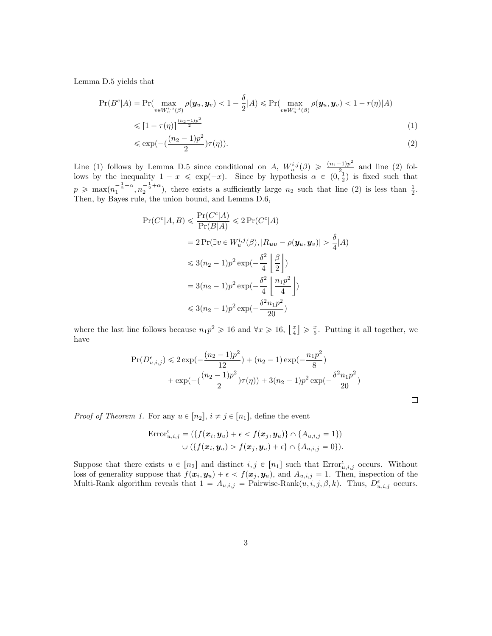Lemma [D.5](#page-10-0) yields that

$$
\Pr(B^c|A) = \Pr(\max_{v \in W_u^{i,j}(\beta)} \rho(\boldsymbol{y}_u, \boldsymbol{y}_v) < 1 - \frac{\delta}{2}|A) \leqslant \Pr(\max_{v \in W_u^{i,j}(\beta)} \rho(\boldsymbol{y}_u, \boldsymbol{y}_v) < 1 - r(\eta)|A)
$$

$$
\leqslant \left[1 - \tau(\eta)\right]^{\frac{(n_2 - 1)p^2}{2}} \tag{1}
$$

<span id="page-2-0"></span>
$$
\leqslant \exp\left(-\left(\frac{(n_2-1)p^2}{2}\right)\tau(\eta)\right). \tag{2}
$$

Line [\(1\)](#page-2-0) follows by Lemma [D.5](#page-10-0) since conditional on A,  $W_u^{i,j}(\beta) \geq \frac{(n_1-1)p^2}{2}$  $\frac{(-1)p^-}{2}$  and line [\(2\)](#page-2-1) follows by the inequality  $1 - x \leq \exp(-x)$ . Since by hypothesis  $\alpha \in (0, \frac{1}{2})$  is fixed such that  $p \ge \max(n_1^{-\frac{1}{2}+\alpha}, n_2^{-\frac{1}{2}+\alpha})$ , there exists a sufficiently large  $n_2$  such that line [\(2\)](#page-2-1) is less than  $\frac{1}{2}$ . Then, by Bayes rule, the union bound, and Lemma [D.6,](#page-10-1)

$$
\Pr(C^c|A, B) \le \frac{\Pr(C^c|A)}{\Pr(B|A)} \le 2\Pr(C^c|A)
$$
  
=  $2\Pr(\exists v \in W_u^{i,j}(\beta), |R_{uv} - \rho(\mathbf{y}_u, \mathbf{y}_v)| > \frac{\delta}{4}|A)$   
 $\le 3(n_2 - 1)p^2 \exp(-\frac{\delta^2}{4} \left\lfloor \frac{\beta}{2} \right\rfloor)$   
=  $3(n_2 - 1)p^2 \exp(-\frac{\delta^2}{4} \left\lfloor \frac{n_1p^2}{4} \right\rfloor)$   
 $\le 3(n_2 - 1)p^2 \exp(-\frac{\delta^2 n_1p^2}{20})$ 

where the last line follows because  $n_1p^2 \geq 16$  and  $\forall x \geq 16$ ,  $\left\lfloor \frac{x}{4} \right\rfloor$  $\geq \frac{x}{5}$ . Putting it all together, we have

$$
\Pr(D_{u,i,j}^{\epsilon}) \leq 2 \exp(-\frac{(n_2 - 1)p^2}{12}) + (n_2 - 1) \exp(-\frac{n_1 p^2}{8}) + \exp(-(\frac{(n_2 - 1)p^2}{2})\tau(\eta)) + 3(n_2 - 1)p^2 \exp(-\frac{\delta^2 n_1 p^2}{20})
$$

<span id="page-2-1"></span> $\Box$ 

*Proof of Theorem [1.](#page-0-1)* For any  $u \in [n_2], i \neq j \in [n_1]$ , define the event

$$
\text{Error}_{u,i,j}^{\epsilon} = (\{f(\boldsymbol{x}_i, \boldsymbol{y}_u) + \epsilon < f(\boldsymbol{x}_j, \boldsymbol{y}_u)\} \cap \{A_{u,i,j} = 1\})
$$
\n
$$
\cup (\{f(\boldsymbol{x}_i, \boldsymbol{y}_u) > f(\boldsymbol{x}_j, \boldsymbol{y}_u) + \epsilon\} \cap \{A_{u,i,j} = 0\}).
$$

Suppose that there exists  $u \in [n_2]$  and distinct  $i, j \in [n_1]$  such that  $\text{Error}_{u,i,j}^{\epsilon}$  occurs. Without loss of generality suppose that  $f(x_i, y_u) + \epsilon < f(x_j, y_u)$ , and  $A_{u,i,j} = 1$ . Then, inspection of the Multi-Rank algorithm reveals that  $1 = A_{u,i,j} = \text{Pairwise-Rank}(u, i, j, \beta, k)$ . Thus,  $D_{u,i,j}^{\epsilon}$  occurs.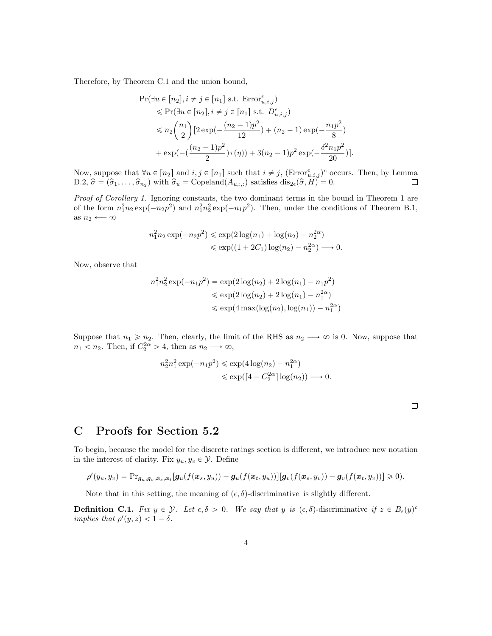Therefore, by Theorem [C.1](#page-4-0) and the union bound,

$$
\begin{split} \Pr(\exists u \in [n_2], i \neq j \in [n_1] \text{ s.t. } \text{Error}_{u,i,j}^{\epsilon}) \\ &\leqslant \Pr(\exists u \in [n_2], i \neq j \in [n_1] \text{ s.t. } D_{u,i,j}^{\epsilon}) \\ &\leqslant n_2 {n_1 \choose 2} [2 \exp(-\frac{(n_2-1)p^2}{12}) + (n_2-1) \exp(-\frac{n_1p^2}{8}) \\ &+ \exp(-(\frac{(n_2-1)p^2}{2})\tau(\eta)) + 3(n_2-1)p^2 \exp(-\frac{\delta^2 n_1 p^2}{20})]. \end{split}
$$

Now, suppose that  $\forall u \in [n_2]$  and  $i, j \in [n_1]$  such that  $i \neq j$ ,  $(\text{Error}_{u,i,j}^{\epsilon})^c$  occurs. Then, by Lemma [D.2,](#page-8-0)  $\hat{\sigma} = (\hat{\sigma}_1, \ldots, \hat{\sigma}_{n_2})$  with  $\hat{\sigma}_u = \text{Copeland}(A_{u, \ldots})$  satisfies  $dis_{2\epsilon}(\hat{\sigma}, H) = 0$ .  $\Box$ 

Proof of Corollary [1.](#page-0-1) Ignoring constants, the two dominant terms in the bound in Theorem [1](#page-0-1) are of the form  $n_1^2 n_2 \exp(-n_2 p^2)$  and  $n_1^2 n_2^2 \exp(-n_1 p^2)$ . Then, under the conditions of Theorem [B.1,](#page-1-0) as  $n_2 \leftarrow \infty$ 

$$
n_1^2 n_2 \exp(-n_2 p^2) \le \exp(2 \log(n_1) + \log(n_2) - n_2^{2\alpha})
$$
  
 
$$
\le \exp((1 + 2C_1) \log(n_2) - n_2^{2\alpha}) \longrightarrow 0.
$$

Now, observe that

$$
n_1^2 n_2^2 \exp(-n_1 p^2) = \exp(2\log(n_2) + 2\log(n_1) - n_1 p^2)
$$
  
\$\le \exp(2\log(n\_2) + 2\log(n\_1) - n\_1^{2\alpha})\$  
\$\le \exp(4\max(\log(n\_2), \log(n\_1)) - n\_1^{2\alpha})\$

Suppose that  $n_1 \ge n_2$ . Then, clearly, the limit of the RHS as  $n_2 \longrightarrow \infty$  is 0. Now, suppose that  $n_1 < n_2$ . Then, if  $C_2^{2\alpha} > 4$ , then as  $n_2 \longrightarrow \infty$ ,

$$
n_2^2 n_1^2 \exp(-n_1 p^2) \le \exp(4 \log(n_2) - n_1^{2\alpha})
$$
  

$$
\le \exp([4 - C_2^{2\alpha}] \log(n_2)) \longrightarrow 0.
$$

# <span id="page-3-0"></span>C Proofs for Section [5.2](#page-0-1)

To begin, because the model for the discrete ratings section is different, we introduce new notation in the interest of clarity. Fix  $y_u, y_v \in \mathcal{Y}$ . Define

$$
\rho'(y_u,y_v) = \mathrm{Pr}_{\mathbf{g}_u,\mathbf{g}_v,\mathbf{x}_s,\mathbf{x}_t}[\mathbf{g}_u(f(\mathbf{x}_s,y_u))-\mathbf{g}_u(f(\mathbf{x}_t,y_u))][\mathbf{g}_v(f(\mathbf{x}_s,y_v))-\mathbf{g}_v(f(\mathbf{x}_t,y_v))]\geq 0).
$$

Note that in this setting, the meaning of  $(\epsilon, \delta)$ -discriminative is slightly different.

**Definition C.1.** Fix  $y \in \mathcal{Y}$ . Let  $\epsilon, \delta > 0$ . We say that y is  $(\epsilon, \delta)$ -discriminative if  $z \in B_{\epsilon}(y)^{c}$ implies that  $\rho'(y, z) < 1 - \delta$ .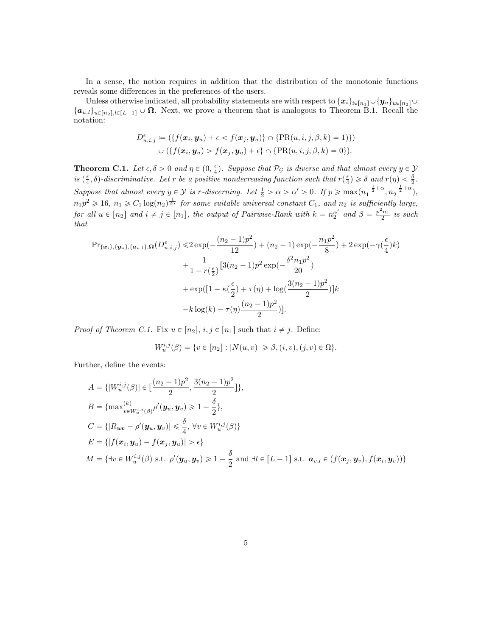In a sense, the notion requires in addition that the distribution of the monotonic functions reveals some differences in the preferences of the users.

Unless otherwise indicated, all probability statements are with respect to  $\{x_i\}_{i\in[n_1]}\cup\{y_u\}_{u\in[n_2]}\cup\{y_u\}_{u\in[n_2]}$  $\{\boldsymbol{a}_{u,l}\}_{u\in[n_2],l\in[L-1]} \cup \boldsymbol{\Omega}$ . Next, we prove a theorem that is analogous to Theorem [B.1.](#page-1-0) Recall the notation:

$$
D_{u,i,j}^{\epsilon} \coloneqq (\{f(\boldsymbol{x}_i, \boldsymbol{y}_u) + \epsilon < f(\boldsymbol{x}_j, \boldsymbol{y}_u)\} \cap \{\text{PR}(u,i,j,\beta,k) = 1)\})
$$
\n
$$
\cup \left(\{f(\boldsymbol{x}_i, \boldsymbol{y}_u) > f(\boldsymbol{x}_j, \boldsymbol{y}_u) + \epsilon\} \cap \{\text{PR}(u,i,j,\beta,k) = 0\}\right).
$$

<span id="page-4-0"></span>**Theorem C.1.** Let  $\epsilon, \delta > 0$  and  $\eta \in (0, \frac{\epsilon}{4})$ . Suppose that  $\mathcal{P}_{\mathcal{G}}$  is diverse and that almost every  $y \in \mathcal{Y}$ is  $(\frac{\epsilon}{4}, \delta)$ -discriminative. Let r be a positive nondecreasing function such that  $r(\frac{\epsilon}{4}) \geq \delta$  and  $r(\eta) < \frac{\delta}{2}$ . Suppose that almost every  $y \in \mathcal{Y}$  is r-discerning. Let  $\frac{1}{2} > \alpha > \alpha' > 0$ . If  $p \ge \max(n_1^{-\frac{1}{2} + \alpha}, n_2^{-\frac{1}{2} + \alpha})$ ,  $n_1p^2 \geqslant 16$ ,  $n_1 \geqslant C_1 \log(n_2)^{\frac{1}{2\alpha}}$  for some suitable universal constant  $C_1$ , and  $n_2$  is sufficiently large, for all  $u \in [n_2]$  and  $i \neq j \in [n_1]$ , the output of Pairwise-Rank with  $k = n_2^{\alpha'}$  and  $\beta = \frac{p^2 n_1}{2}$  is such that

$$
\Pr_{\{\boldsymbol{x}_{i}\},\{\boldsymbol{y}_{u}\},\{\boldsymbol{a}_{u,l}\},\Omega}(D_{u,i,j}^{\epsilon}) \leq 2 \exp\left(-\frac{(n_{2}-1)p^{2}}{12}\right) + (n_{2}-1) \exp\left(-\frac{n_{1}p^{2}}{8}\right) + 2 \exp\left(-\gamma\left(\frac{\epsilon}{4}\right)k\right) + \frac{1}{1-r\left(\frac{\epsilon}{2}\right)} \left[3(n_{2}-1)p^{2} \exp\left(-\frac{\delta^{2}n_{1}p^{2}}{20}\right) + \exp\left([1-\kappa\left(\frac{\epsilon}{2}\right)+\tau(\eta)+\log\left(\frac{3(n_{2}-1)p^{2}}{2}\right)\right]k - k \log(k) - \tau(\eta)\frac{(n_{2}-1)p^{2}}{2}\right)].
$$

*Proof of Theorem [C.1.](#page-4-0)* Fix  $u \in [n_2], i, j \in [n_1]$  such that  $i \neq j$ . Define:

$$
W_u^{i,j}(\beta) = \{ v \in [n_2] : |N(u,v)| \geq \beta, (i,v), (j,v) \in \Omega \}.
$$

Further, define the events:

$$
A = \{ |W_u^{i,j}(\beta)| \in \left[\frac{(n_2 - 1)p^2}{2}, \frac{3(n_2 - 1)p^2}{2}\right] \},\
$$
  
\n
$$
B = \{ \max_{v \in W_u^{i,j}(\beta)}^{(k)} \rho'(y_u, y_v) \ge 1 - \frac{\delta}{2} \},\
$$
  
\n
$$
C = \{ |R_{uv} - \rho'(y_u, y_v)| \le \frac{\delta}{4}, \forall v \in W_u^{i,j}(\beta) \}
$$
  
\n
$$
E = \{ |f(x_i, y_u) - f(x_j, y_u)| > \epsilon \}
$$
  
\n
$$
M = \{ \exists v \in W_u^{i,j}(\beta) \text{ s.t. } \rho'(y_u, y_v) \ge 1 - \frac{\delta}{2} \text{ and } \exists l \in [L - 1] \text{ s.t. } \mathbf{a}_{v,l} \in (f(x_j, y_v), f(x_i, y_v)) \}
$$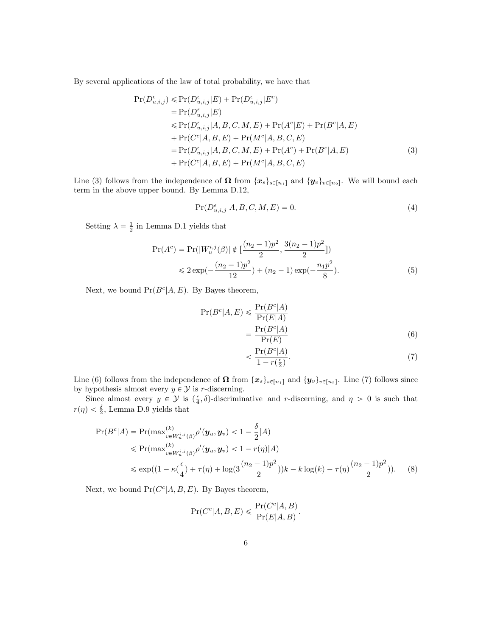By several applications of the law of total probability, we have that

$$
\Pr(D_{u,i,j}^{\epsilon}) \leq \Pr(D_{u,i,j}^{\epsilon}|E) + \Pr(D_{u,i,j}^{\epsilon}|E^{c})
$$
  
=  $\Pr(D_{u,i,j}^{\epsilon}|E)$   

$$
\leq \Pr(D_{u,i,j}^{\epsilon}|A, B, C, M, E) + \Pr(A^{c}|E) + \Pr(B^{c}|A, E)
$$
  
+  $\Pr(C^{c}|A, B, E) + \Pr(M^{c}|A, B, C, E)$   
=  $\Pr(D_{u,i,j}^{\epsilon}|A, B, C, M, E) + \Pr(A^{c}) + \Pr(B^{c}|A, E)$  (3)  
+  $\Pr(C^{c}|A, B, E) + \Pr(M^{c}|A, B, C, E)$ 

Line [\(3\)](#page-5-0) follows from the independence of  $\Omega$  from  $\{x_s\}_{s\in[n_1]}$  and  $\{y_v\}_{v\in[n_2]}$ . We will bound each term in the above upper bound. By Lemma [D.12,](#page-15-0)

<span id="page-5-4"></span><span id="page-5-0"></span>
$$
Pr(D_{u,i,j}^{\epsilon}|A, B, C, M, E) = 0.
$$
\n(4)

Setting  $\lambda = \frac{1}{2}$  in Lemma [D.1](#page-7-1) yields that

$$
\Pr(A^c) = \Pr(|W_u^{i,j}(\beta)| \notin \left[\frac{(n_2 - 1)p^2}{2}, \frac{3(n_2 - 1)p^2}{2}\right])
$$
  
\$\leq 2 \exp(-\frac{(n\_2 - 1)p^2}{12}) + (n\_2 - 1) \exp(-\frac{n\_1p^2}{8}).\$ (5)

Next, we bound  $Pr(B^c|A, E)$ . By Bayes theorem,

$$
Pr(Bc|A, E) \le \frac{Pr(Bc|A)}{Pr(E|A)}
$$
  
= 
$$
\frac{Pr(Bc|A)}{Pr(E)}
$$
 (6)

<span id="page-5-5"></span><span id="page-5-3"></span><span id="page-5-2"></span><span id="page-5-1"></span>
$$
<\frac{\Pr(B^c|A)}{1 - r\left(\frac{\epsilon}{2}\right)}.\tag{7}
$$

Line [\(6\)](#page-5-1) follows from the independence of  $\Omega$  from  $\{x_s\}_{s\in[n_1]}$  and  $\{y_v\}_{v\in[n_2]}$ . Line [\(7\)](#page-5-2) follows since by hypothesis almost every  $y \in \mathcal{Y}$  is r-discerning.

Since almost every  $y \in \mathcal{Y}$  is  $(\frac{\epsilon}{4}, \delta)$ -discriminative and r-discerning, and  $\eta > 0$  is such that  $r(\eta) < \frac{\delta}{2}$ , Lemma [D.9](#page-12-0) yields that

$$
\Pr(B^c|A) = \Pr(\max_{v \in W_u^{i,j}(\beta)}^{(k)} \rho'(y_u, y_v) < 1 - \frac{\delta}{2}|A) \\
\leq \Pr(\max_{v \in W_u^{i,j}(\beta)}^{(k)} \rho'(y_u, y_v) < 1 - r(\eta)|A) \\
\leq \exp((1 - \kappa(\frac{\epsilon}{4}) + \tau(\eta) + \log(3\frac{(n_2 - 1)p^2}{2}))k - k\log(k) - \tau(\eta)\frac{(n_2 - 1)p^2}{2})).\n\tag{8}
$$

Next, we bound  $Pr(C^c|A, B, E)$ . By Bayes theorem,

$$
\Pr(C^c|A, B, E) \leqslant \frac{\Pr(C^c|A, B)}{\Pr(E|A, B)}.
$$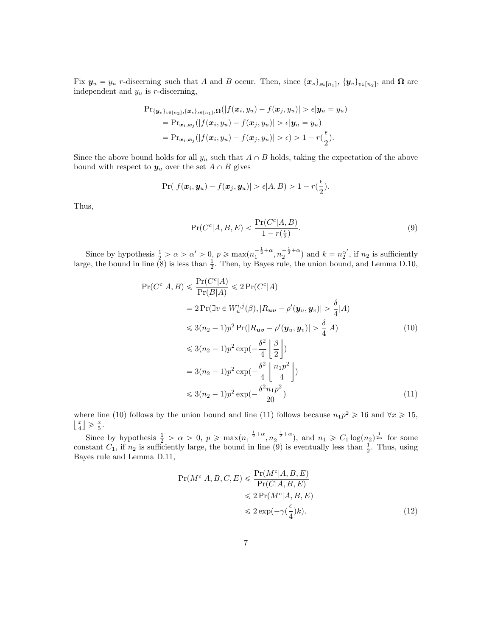Fix  $y_u = y_u$  r-discerning such that A and B occur. Then, since  $\{x_s\}_{s\in[n_1]}, \{y_v\}_{v\in[n_2]},$  and  $\Omega$  are independent and  $y_u$  is r-discerning,

$$
\Pr_{\{\boldsymbol{y}_v\}_{v\in[n_2]},\{\boldsymbol{x}_s\}_{s\in[n_1]},\Omega}(|f(\boldsymbol{x}_i,y_u)-f(\boldsymbol{x}_j,y_u)|>\epsilon|\boldsymbol{y}_u=y_u) \n= \Pr_{\boldsymbol{x}_i,\boldsymbol{x}_j}(|f(\boldsymbol{x}_i,y_u)-f(\boldsymbol{x}_j,y_u)|>\epsilon|\boldsymbol{y}_u=y_u) \n= \Pr_{\boldsymbol{x}_i,\boldsymbol{x}_j}(|f(\boldsymbol{x}_i,y_u)-f(\boldsymbol{x}_j,y_u)|>\epsilon)> 1-r(\frac{\epsilon}{2}).
$$

Since the above bound holds for all  $y_u$  such that  $A \cap B$  holds, taking the expectation of the above bound with respect to  $y_u$  over the set  $A \cap B$  gives

$$
\Pr(|f(\boldsymbol{x}_i,\boldsymbol{y}_u)-f(\boldsymbol{x}_j,\boldsymbol{y}_u)|>\epsilon|A,B)>1-r(\frac{\epsilon}{2}).
$$

Thus,

<span id="page-6-2"></span><span id="page-6-0"></span>
$$
\Pr(C^c|A, B, E) < \frac{\Pr(C^c|A, B)}{1 - r\left(\frac{\epsilon}{2}\right)}.\tag{9}
$$

Since by hypothesis  $\frac{1}{2} > \alpha > \alpha' > 0$ ,  $p \ge \max(n_1^{-\frac{1}{2} + \alpha}, n_2^{-\frac{1}{2} + \alpha})$  and  $k = n_2^{\alpha'}$ , if  $n_2$  is sufficiently large, the bound in line  $(8)$  is less than  $\frac{1}{2}$ . Then, by Bayes rule, the union bound, and Lemma [D.10,](#page-14-0)

$$
\Pr(C^{c}|A, B) \leq \frac{\Pr(C^{c}|A)}{\Pr(B|A)} \leq 2 \Pr(C^{c}|A)
$$
  
\n
$$
= 2 \Pr(\exists v \in W_{u}^{i,j}(\beta), |R_{uv} - \rho'(y_{u}, y_{v})| > \frac{\delta}{4}|A)
$$
  
\n
$$
\leq 3(n_{2} - 1)p^{2} \Pr(|R_{uv} - \rho'(y_{u}, y_{v})| > \frac{\delta}{4}|A)
$$
  
\n
$$
\leq 3(n_{2} - 1)p^{2} \exp(-\frac{\delta^{2}}{4} \left\lfloor \frac{\beta}{2} \right\rfloor)
$$
  
\n
$$
= 3(n_{2} - 1)p^{2} \exp(-\frac{\delta^{2}}{4} \left\lfloor \frac{n_{1}p^{2}}{4} \right\rfloor)
$$
  
\n
$$
\leq 3(n_{2} - 1)p^{2} \exp(-\frac{\delta^{2}n_{1}p^{2}}{20})
$$
\n(11)

where line [\(10\)](#page-6-0) follows by the union bound and line [\(11\)](#page-6-1) follows because  $n_1p^2 \geq 16$  and  $\forall x \geq 15$ ,  $\frac{x}{4}$   $\geqslant$   $\frac{x}{5}$ .

Since by hypothesis  $\frac{1}{2} > \alpha > 0$ ,  $p \ge \max(n_1^{-\frac{1}{2}+\alpha}, n_2^{-\frac{1}{2}+\alpha})$ , and  $n_1 \ge C_1 \log(n_2)^{\frac{1}{2\alpha}}$  for some constant  $C_1$ , if  $n_2$  is sufficiently large, the bound in line [\(9\)](#page-6-2) is eventually less than  $\frac{1}{2}$ . Thus, using Bayes rule and Lemma [D.11,](#page-14-1)

<span id="page-6-3"></span><span id="page-6-1"></span>
$$
\Pr(M^c|A, B, C, E) \le \frac{\Pr(M^c|A, B, E)}{\Pr(C|A, B, E)} \le 2 \Pr(M^c|A, B, E) \le 2 \exp(-\gamma(\frac{\epsilon}{4})k). \tag{12}
$$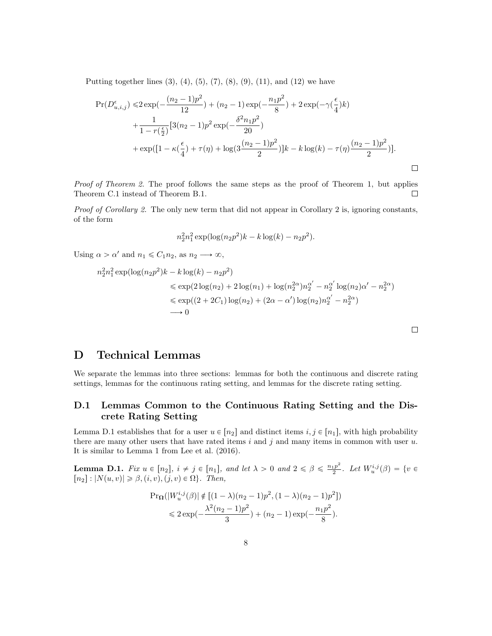Putting together lines  $(3)$ ,  $(4)$ ,  $(5)$ ,  $(7)$ ,  $(8)$ ,  $(9)$ ,  $(11)$ , and  $(12)$  we have

$$
\Pr(D_{u,i,j}^{\epsilon}) \leq 2 \exp(-\frac{(n_2 - 1)p^2}{12}) + (n_2 - 1) \exp(-\frac{n_1p^2}{8}) + 2 \exp(-\gamma(\frac{\epsilon}{4})k) + \frac{1}{1 - r(\frac{\epsilon}{2})} [3(n_2 - 1)p^2 \exp(-\frac{\delta^2 n_1 p^2}{20}) + \exp([1 - \kappa(\frac{\epsilon}{4}) + \tau(\eta) + \log(3\frac{(n_2 - 1)p^2}{2})]k - k \log(k) - \tau(\eta)\frac{(n_2 - 1)p^2}{2})].
$$

Proof of Theorem [2.](#page-0-1) The proof follows the same steps as the proof of Theorem [1,](#page-0-1) but applies Theorem [C.1](#page-4-0) instead of Theorem [B.1.](#page-1-0)  $\Box$ 

Proof of Corollary [2.](#page-0-1) The only new term that did not appear in Corollary [2](#page-0-1) is, ignoring constants, of the form

$$
n_2^2 n_1^2 \exp(\log(n_2 p^2)k - k \log(k) - n_2 p^2).
$$

Using  $\alpha > \alpha'$  and  $n_1 \leq C_1 n_2$ , as  $n_2 \longrightarrow \infty$ ,

$$
n_2^2 n_1^2 \exp(\log(n_2 p^2)k - k \log(k) - n_2 p^2)
$$
  
\$\leq \exp(2 \log(n\_2) + 2 \log(n\_1) + \log(n\_2^{2\alpha})n\_2^{\alpha'} - n\_2^{\alpha'} \log(n\_2)\alpha' - n\_2^{2\alpha})\$  
\$\leq \exp((2 + 2C\_1) \log(n\_2) + (2\alpha - \alpha') \log(n\_2)n\_2^{\alpha'} - n\_2^{2\alpha})\$  
\$\to 0\$

 $\Box$ 

# <span id="page-7-0"></span>D Technical Lemmas

We separate the lemmas into three sections: lemmas for both the continuous and discrete rating settings, lemmas for the continuous rating setting, and lemmas for the discrete rating setting.

### D.1 Lemmas Common to the Continuous Rating Setting and the Discrete Rating Setting

Lemma [D.1](#page-7-1) establishes that for a user  $u \in [n_2]$  and distinct items  $i, j \in [n_1]$ , with high probability there are many other users that have rated items  $i$  and  $j$  and many items in common with user  $u$ . It is similar to Lemma 1 from [Lee et al.](#page-20-1) [\(2016\)](#page-20-1).

<span id="page-7-1"></span>**Lemma D.1.** Fix  $u \in [n_2], i \neq j \in [n_1],$  and let  $\lambda > 0$  and  $2 \leq \beta \leq \frac{n_1 p^2}{2}$  $\frac{u p^2}{2}$ . Let  $W_u^{i,j}(\beta) = \{v \in$  $[n_2]: |N(u, v)| \geq \beta$ ,  $(i, v), (j, v) \in \Omega$ . Then,

$$
\Pr\Omega(|W_u^{i,j}(\beta)| \notin [(1-\lambda)(n_2-1)p^2, (1-\lambda)(n_2-1)p^2])
$$
  
\$\leq 2 \exp(-\frac{\lambda^2(n\_2-1)p^2}{3}) + (n\_2-1) \exp(-\frac{n\_1p^2}{8}).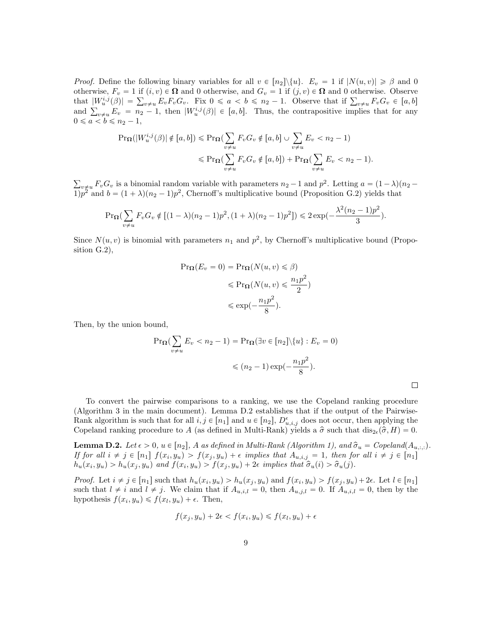*Proof.* Define the following binary variables for all  $v \in [n_2] \setminus \{u\}$ .  $E_v = 1$  if  $|N(u, v)| \geq \beta$  and 0 otherwise,  $F_v = 1$  if  $(i, v) \in \Omega$  and 0 otherwise, and  $G_v = 1$  if  $(j, v) \in \Omega$  and 0 otherwise. Observe otherwise,  $F_v = 1$  if  $(i, v) \in \Omega$  and 0 otherwise, and  $G_v = 1$  if  $(j, v) \in \Omega$  and 0 otherwise. Observe that  $|W_u^{i,j}(\beta)| = \sum_{v \neq u} E_v F_v G_v$ . Fix  $0 \leq a < b \leq n_2 - 1$ . Observe that if  $\sum_{v \neq u} F_v G_v \in [a, b]$ that  $|W_u^{i,j}(\beta)| = \sum_{v \neq u} E_v F_v G_v$ . Fix  $0 \le a < b \le n_2 - 1$ . Observe that if  $\sum_{v \neq u} F_v G_v \in [a, b]$ <br>and  $\sum_{v \neq u} E_v = n_2 - 1$ , then  $|W_u^{i,j}(\beta)| \in [a, b]$ . Thus, the contrapositive implies that for any  $0 \leq a < b \leq n_2 - 1$ ,

$$
\Pr_{\Omega}(|W_u^{i,j}(\beta)| \notin [a,b]) \le \Pr_{\Omega}(\sum_{v \neq u} F_v G_v \notin [a,b]) \cup \sum_{v \neq u} E_v < n_2 - 1)
$$
  

$$
\le \Pr_{\Omega}(\sum_{v \neq u} F_v G_v \notin [a,b]) + \Pr_{\Omega}(\sum_{v \neq u} E_v < n_2 - 1).
$$

 $v_{\neq u} F_v G_v$  is a binomial random variable with parameters  $n_2 - 1$  and  $p^2$ . Letting  $a = (1 - \lambda)(n_2 - \lambda)$  $1/p^2$  and  $b = (1 + \lambda)(n_2 - 1)p^2$ , Chernoff's multiplicative bound (Proposition [G.2\)](#page-20-2) yields that

$$
\Pr_{\Omega}(\sum_{v \neq u} F_v G_v \notin [(1-\lambda)(n_2-1)p^2, (1+\lambda)(n_2-1)p^2]) \leq 2\exp(-\frac{\lambda^2(n_2-1)p^2}{3}).
$$

Since  $N(u, v)$  is binomial with parameters  $n_1$  and  $p^2$ , by Chernoff's multiplicative bound (Proposition [G.2\)](#page-20-2),

$$
\Pr_{\Omega}(E_v = 0) = \Pr_{\Omega}(N(u, v) \leq \beta)
$$

$$
\leq \Pr_{\Omega}(N(u, v) \leq \frac{n_1 p^2}{2})
$$

$$
\leq \exp(-\frac{n_1 p^2}{8}).
$$

Then, by the union bound,

$$
\Pr_{\Omega}(\sum_{v \neq u} E_v < n_2 - 1) = \Pr_{\Omega}(\exists v \in [n_2] \setminus \{u\} : E_v = 0)
$$
\n
$$
\leqslant (n_2 - 1) \exp(-\frac{n_1 p^2}{8}).
$$

To convert the pairwise comparisons to a ranking, we use the Copeland ranking procedure (Algorithm [3](#page-0-1) in the main document). Lemma [D.2](#page-8-0) establishes that if the output of the Pairwise-Rank algorithm is such that for all  $i, j \in [n_1]$  and  $u \in [n_2]$ ,  $D_{u,i,j}^{\epsilon}$  does not occur, then applying the Copeland ranking procedure to A (as defined in Multi-Rank) yields a  $\hat{\sigma}$  such that  $dis_{2\epsilon}(\hat{\sigma}, H) = 0$ .

<span id="page-8-0"></span>**Lemma D.2.** Let  $\epsilon > 0$ ,  $u \in [n_2]$ , A as defined in Multi-Rank (Algorithm [1\)](#page-0-1), and  $\hat{\sigma}_u = C$ opeland $(A_{u,:,:})$ . If for all  $i \neq j \in [n_1]$   $f(x_i, y_u) > f(x_j, y_u) + \epsilon$  implies that  $A_{u,i,j} = 1$ , then for all  $i \neq j \in [n_1]$  $h_u(x_i, y_u) > h_u(x_j, y_u)$  and  $f(x_i, y_u) > f(x_j, y_u) + 2\epsilon$  implies that  $\hat{\sigma}_u(i) > \hat{\sigma}_u(j)$ .

*Proof.* Let  $i \neq j \in [n_1]$  such that  $h_u(x_i, y_u) > h_u(x_j, y_u)$  and  $f(x_i, y_u) > f(x_j, y_u) + 2\epsilon$ . Let  $l \in [n_1]$ such that  $l \neq i$  and  $l \neq j$ . We claim that if  $A_{u,i,l} = 0$ , then  $A_{u,j,l} = 0$ . If  $A_{u,i,l} = 0$ , then by the hypothesis  $f(x_i, y_u) \leq f(x_l, y_u) + \epsilon$ . Then,

$$
f(x_j, y_u) + 2\epsilon < f(x_i, y_u) \leqslant f(x_l, y_u) + \epsilon
$$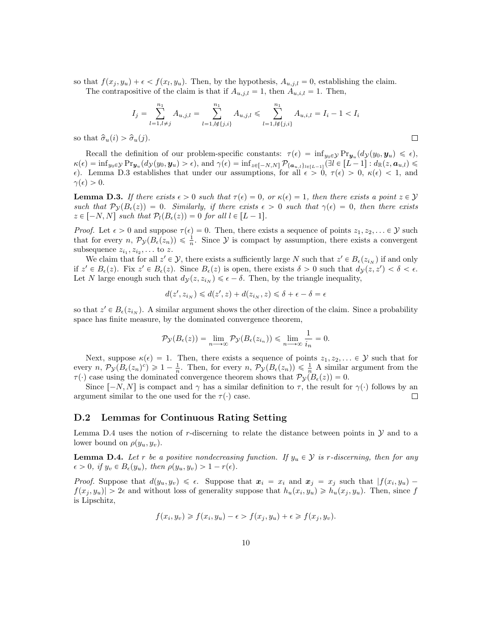so that  $f(x_j, y_u) + \epsilon < f(x_l, y_u)$ . Then, by the hypothesis,  $A_{u,j,l} = 0$ , establishing the claim. The contrapositive of the claim is that if  $A_{u,j,l} = 1$ , then  $A_{u,i,l} = 1$ . Then,

$$
I_j = \sum_{l=1, l \neq j}^{n_1} A_{u,j,l} = \sum_{l=1, l \neq \{j,i\}}^{n_1} A_{u,j,l} \leqslant \sum_{l=1, l \neq \{j,i\}}^{n_1} A_{u,i,l} = I_i - 1 < I_i
$$

 $\Box$ 

so that  $\hat{\sigma}_u(i) > \hat{\sigma}_u(j)$ .

Recall the definition of our problem-specific constants:  $\tau(\epsilon) = \inf_{y_0 \in \mathcal{Y}} Pr_{\mathbf{y}_u}(d_{\mathcal{Y}}(y_0, \mathbf{y}_u) \leq \epsilon),$  $\kappa(\epsilon) = \inf_{y_0 \in \mathcal{Y}} Pr_{\mathbf{y}_u}(d_{\mathcal{Y}}(y_0, \mathbf{y}_u) > \epsilon)$ , and  $\gamma(\epsilon) = \inf_{z \in [-N, N]} \mathcal{P}_{\{\mathbf{a}_{u,l}\}_{l \in [L-1]}}(\exists l \in [L-1]: d_{\mathbb{R}}(z, \mathbf{a}_{u,l}) \leq$  $\epsilon$ ). Lemma [D.3](#page-9-0) establishes that under our assumptions, for all  $\epsilon > 0$ ,  $\tau(\epsilon) > 0$ ,  $\kappa(\epsilon) < 1$ , and  $\gamma(\epsilon) > 0.$ 

<span id="page-9-0"></span>**Lemma D.3.** If there exists  $\epsilon > 0$  such that  $\tau(\epsilon) = 0$ , or  $\kappa(\epsilon) = 1$ , then there exists a point  $z \in \mathcal{Y}$ such that  $\mathcal{P}_{\mathcal{V}}(B_{\epsilon}(z)) = 0$ . Similarly, if there exists  $\epsilon > 0$  such that  $\gamma(\epsilon) = 0$ , then there exists  $z \in [-N, N]$  such that  $\mathcal{P}_l(B_\epsilon(z)) = 0$  for all  $l \in [L - 1]$ .

*Proof.* Let  $\epsilon > 0$  and suppose  $\tau(\epsilon) = 0$ . Then, there exists a sequence of points  $z_1, z_2, \ldots \in \mathcal{Y}$  such that for every  $n, \mathcal{P}_{\mathcal{Y}}(B_{\epsilon}(z_n)) \leq \frac{1}{n}$ . Since  $\mathcal{Y}$  is compact by assumption, there exists a convergent subsequence  $z_{i_1}, z_{i_2}, \ldots$  to z.

We claim that for all  $z' \in \mathcal{Y}$ , there exists a sufficiently large N such that  $z' \in B_{\epsilon}(z_{i_N})$  if and only if  $z' \in B_{\epsilon}(z)$ . Fix  $z' \in B_{\epsilon}(z)$ . Since  $B_{\epsilon}(z)$  is open, there exists  $\delta > 0$  such that  $d\mathcal{y}(z, z') < \delta < \epsilon$ . Let N large enough such that  $d_{\mathcal{Y}}(z, z_{i_N}) \leq \epsilon - \delta$ . Then, by the triangle inequality,

$$
d(z',z_{i_N})\leqslant d(z',z)+d(z_{i_N},z)\leqslant \delta+\epsilon-\delta=\epsilon
$$

so that  $z' \in B_{\epsilon}(z_{i_N})$ . A similar argument shows the other direction of the claim. Since a probability space has finite measure, by the dominated convergence theorem,

$$
\mathcal{P}_{\mathcal{Y}}(B_{\epsilon}(z)) = \lim_{n \longrightarrow \infty} \mathcal{P}_{\mathcal{Y}}(B_{\epsilon}(z_{i_n})) \leq \lim_{n \longrightarrow \infty} \frac{1}{i_n} = 0.
$$

Next, suppose  $\kappa(\epsilon) = 1$ . Then, there exists a sequence of points  $z_1, z_2, \ldots \in \mathcal{Y}$  such that for every  $n, \mathcal{P}_{\mathcal{Y}}(B_{\epsilon}(z_n)^c) \geq 1 - \frac{1}{n}$ . Then, for every  $n, \mathcal{P}_{\mathcal{Y}}(B_{\epsilon}(z_n)) \leq \frac{1}{n}$  A similar argument from the  $\tau(\cdot)$  case using the dominated convergence theorem shows that  $\mathcal{P}_{\mathcal{Y}}(B_{\epsilon}(z)) = 0$ .

Since  $[-N, N]$  is compact and  $\gamma$  has a similar definition to  $\tau$ , the result for  $\gamma(\cdot)$  follows by an argument similar to the one used for the  $\tau(\cdot)$  case.  $\Box$ 

#### D.2 Lemmas for Continuous Rating Setting

Lemma [D.4](#page-9-1) uses the notion of r-discerning to relate the distance between points in  $\mathcal Y$  and to a lower bound on  $\rho(y_u, y_v)$ .

<span id="page-9-1"></span>**Lemma D.4.** Let r be a positive nondecreasing function. If  $y_u \in \mathcal{Y}$  is r-discerning, then for any  $\epsilon > 0$ , if  $y_v \in B_{\epsilon}(y_u)$ , then  $\rho(y_u, y_v) > 1 - r(\epsilon)$ .

*Proof.* Suppose that  $d(y_u, y_v) \leq \epsilon$ . Suppose that  $x_i = x_i$  and  $x_j = x_j$  such that  $|f(x_i, y_u) - f(x_i, y_u)|$  $f(x_j, y_u) > 2\epsilon$  and without loss of generality suppose that  $h_u(x_i, y_u) \geq h_u(x_j, y_u)$ . Then, since f is Lipschitz,

$$
f(x_i, y_v) \ge f(x_i, y_u) - \epsilon > f(x_j, y_u) + \epsilon \ge f(x_j, y_v).
$$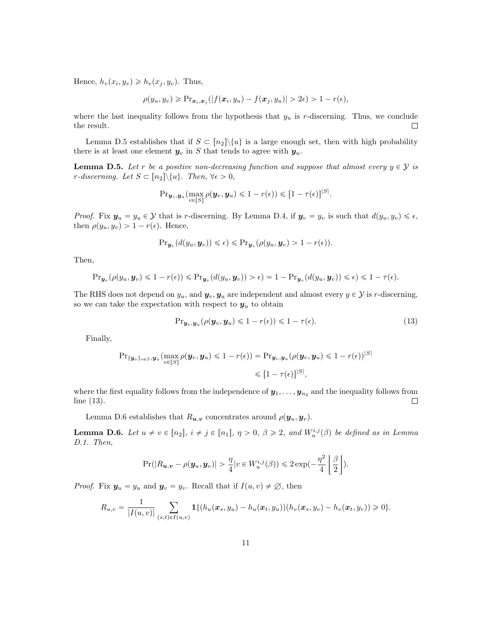Hence,  $h_v(x_i, y_v) \geq h_v(x_j, y_v)$ . Thus,

$$
\rho(y_u, y_v) \geqslant \Pr_{\bm{x}_i, \bm{x}_j}(|f(\bm{x}_i, y_u) - f(\bm{x}_j, y_u)| > 2\epsilon) > 1 - r(\epsilon),
$$

where the last inequality follows from the hypothesis that  $y_u$  is r-discerning. Thus, we conclude the result.  $\Box$ 

Lemma [D.5](#page-10-0) establishes that if  $S \subset [n_2] \setminus \{u\}$  is a large enough set, then with high probability there is at least one element  $y_v$  in S that tends to agree with  $y_u$ .

<span id="page-10-0"></span>**Lemma D.5.** Let r be a positive non-decreasing function and suppose that almost every  $y \in \mathcal{Y}$  is r-discerning. Let  $S \subset [n_2] \setminus \{u\}$ . Then,  $\forall \epsilon > 0$ ,

$$
\mathrm{Pr}_{\boldsymbol{y}_{v},\boldsymbol{y}_{u}}(\max_{v\in[S]}\rho(\boldsymbol{y}_{v},\boldsymbol{y}_{u})\leqslant1-r(\epsilon))\leqslant[1-\tau(\epsilon)]^{|S|}.
$$

*Proof.* Fix  $y_u = y_u \in \mathcal{Y}$  that is r-discerning. By Lemma [D.4,](#page-9-1) if  $y_v = y_v$  is such that  $d(y_u, y_v) \leq \epsilon$ , then  $\rho(y_u, y_v) > 1 - r(\epsilon)$ . Hence,

$$
\mathrm{Pr}_{\boldsymbol{y}_v}(d(y_u, \boldsymbol{y}_v)) \leq \epsilon) \leqslant \mathrm{Pr}_{\boldsymbol{y}_v}(\rho(y_u, \boldsymbol{y}_v) > 1 - r(\epsilon)).
$$

Then,

$$
\mathrm{Pr}_{\boldsymbol{y}_v}(\rho(y_u, \boldsymbol{y}_v) \leq 1 - r(\epsilon)) \leq \mathrm{Pr}_{\boldsymbol{y}_v}(d(y_u, \boldsymbol{y}_v)) > \epsilon) = 1 - \mathrm{Pr}_{\boldsymbol{y}_v}(d(y_u, \boldsymbol{y}_v)) \leq \epsilon) \leq 1 - \tau(\epsilon).
$$

The RHS does not depend on  $y_u$ , and  $y_v, y_u$  are independent and almost every  $y \in \mathcal{Y}$  is r-discerning, so we can take the expectation with respect to  $y_u$  to obtain

<span id="page-10-2"></span>
$$
\Pr_{\mathbf{y}_v, \mathbf{y}_u} (\rho(\mathbf{y}_v, \mathbf{y}_u) \leq 1 - r(\epsilon)) \leq 1 - \tau(\epsilon). \tag{13}
$$

Finally,

$$
\Pr_{\{\boldsymbol{y}_v\}_{v\in S},\boldsymbol{y}_u}(\max_{v\in[S]}\rho(\boldsymbol{y}_v,\boldsymbol{y}_u)\leq 1-r(\epsilon)) = \Pr_{\boldsymbol{y}_v,\boldsymbol{y}_u}(\rho(\boldsymbol{y}_v,\boldsymbol{y}_u)\leq 1-r(\epsilon))^{|\mathcal{S}|}
$$
  
\$\leqslant [1-r(\epsilon)]^{|\mathcal{S}|}\$,

where the first equality follows from the independence of  $y_1, \ldots, y_{n_2}$  and the inequality follows from line [\(13\)](#page-10-2).  $\Box$ 

Lemma [D.6](#page-10-1) establishes that  $R_{u,v}$  concentrates around  $\rho(\mathbf{y}_u, \mathbf{y}_v)$ .

<span id="page-10-1"></span>**Lemma D.6.** Let  $u \neq v \in [n_2], i \neq j \in [n_1], \eta > 0, \beta \geq 2$ , and  $W_u^{i,j}(\beta)$  be defined as in Lemma [D.1.](#page-7-1) Then, Z  $\mathbf{r}$ 

$$
\Pr(|R_{\boldsymbol{u},\boldsymbol{v}} - \rho(\boldsymbol{y}_u,\boldsymbol{y}_v)| > \frac{\eta}{4} |v \in W^{i,j}_u(\beta)) \leq 2 \exp(-\frac{\eta^2}{4} \left \lfloor \frac{\beta}{2} \right \rfloor).
$$

*Proof.* Fix  $y_u = y_u$  and  $y_v = y_v$ . Recall that if  $I(u, v) \neq \emptyset$ , then

$$
R_{u,v} = \frac{1}{|I(u,v)|} \sum_{(s,t) \in I(u,v)} \mathbf{1}\{(h_u(\bm{x}_s,y_u) - h_u(\bm{x}_t,y_u))(h_v(\bm{x}_s,y_v) - h_v(\bm{x}_t,y_v)) \geq 0\}.
$$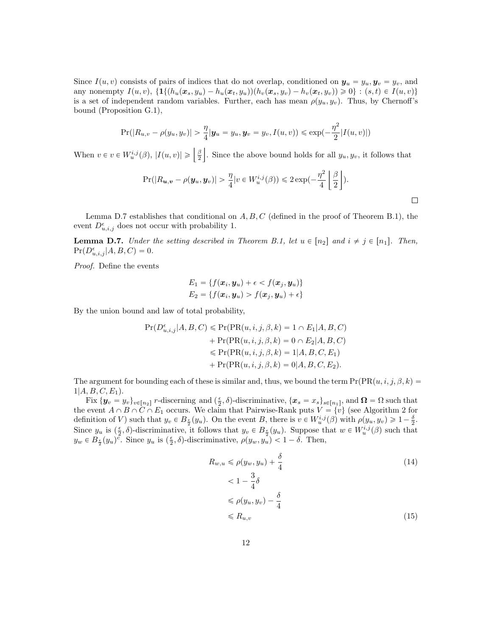Since  $I(u, v)$  consists of pairs of indices that do not overlap, conditioned on  $y_u = y_u, y_v = y_v$ , and any nonempty  $I(u, v)$ ,  $\{1\{(h_u(x_s, y_u) - h_u(x_t, y_u))(h_v(x_s, y_v) - h_v(x_t, y_v))\geq 0\}$ :  $(s, t) \in I(u, v)$ is a set of independent random variables. Further, each has mean  $\rho(y_u, y_v)$ . Thus, by Chernoff's bound (Proposition [G.1\)](#page-20-3),

$$
Pr(|R_{u,v} - \rho(y_u, y_v)| > \frac{\eta}{4} | \mathbf{y}_u = y_u, \mathbf{y}_v = y_v, I(u, v)) \le \exp(-\frac{\eta^2}{2} |I(u, v)|)
$$

When  $v \in v \in W_u^{i,j}(\beta)$ ,  $|I(u, v)| \geqslant \left\lfloor \frac{\beta}{2} \right\rfloor$ . Since the above bound holds for all  $y_u, y_v$ , it follows that

$$
\Pr(|R_{\boldsymbol{u},\boldsymbol{v}} - \rho(\boldsymbol{y}_u, \boldsymbol{y}_v)| > \frac{\eta}{4} |v \in W^{i,j}_u(\beta)) \leq 2 \exp(-\frac{\eta^2}{4} \left \lfloor \frac{\beta}{2} \right \rfloor).
$$

Lemma [D.7](#page-11-0) establishes that conditional on  $A, B, C$  (defined in the proof of Theorem [B.1\)](#page-1-0), the event  $D_{u,i,j}^{\epsilon}$  does not occur with probability 1.

<span id="page-11-0"></span>**Lemma D.7.** Under the setting described in Theorem [B.1,](#page-1-0) let  $u \in [n_2]$  and  $i \neq j \in [n_1]$ . Then,  $Pr(D^{\epsilon}_{u,i,j} | A, B, C) = 0.$ 

Proof. Define the events

$$
E_1 = \{f(\boldsymbol{x}_i, \boldsymbol{y}_u) + \epsilon < f(\boldsymbol{x}_j, \boldsymbol{y}_u)\}
$$
\n
$$
E_2 = \{f(\boldsymbol{x}_i, \boldsymbol{y}_u) > f(\boldsymbol{x}_j, \boldsymbol{y}_u) + \epsilon\}
$$

By the union bound and law of total probability,

$$
Pr(D_{u,i,j}^{\epsilon}|A,B,C) \leqslant Pr(PR(u,i,j,\beta,k) = 1 \cap E_1|A,B,C)
$$
  
+ 
$$
Pr(PR(u,i,j,\beta,k) = 0 \cap E_2|A,B,C)
$$
  

$$
\leqslant Pr(PR(u,i,j,\beta,k) = 1|A,B,C,E_1)
$$
  
+ 
$$
Pr(PR(u,i,j,\beta,k) = 0|A,B,C,E_2).
$$

The argument for bounding each of these is similar and, thus, we bound the term  $Pr(PR(u, i, j, \beta, k)$  $1|A, B, C, E_1$ .

 $\text{Fix } \{y_v = y_v\}_{v \in [n_2]}$  r-discerning and  $(\frac{\epsilon}{2}, \delta)$ -discriminative,  $\{x_s = x_s\}_{s \in [n_1]}$ , and  $\Omega = \Omega$  such that the event  $A \cap B \cap C \cap E_1$  occurs. We claim that Pairwise-Rank puts  $V = \{v\}$  (see Algorithm [2](#page-0-1) for definition of V) such that  $y_v \in B_{\frac{\epsilon}{2}}(y_u)$ . On the event B, there is  $v \in W_u^{i,j}(\beta)$  with  $\rho(y_u, y_v) \geq 1 - \frac{\delta}{2}$ . Since  $y_u$  is  $(\frac{\epsilon}{2}, \delta)$ -discriminative, it follows that  $y_v \in B_{\frac{\epsilon}{2}}(y_u)$ . Suppose that  $w \in W_u^{i,j}(\beta)$  such that  $y_w \in B_{\frac{\epsilon}{2}}(y_u)^{\overline{c}}$ . Since  $y_u$  is  $(\frac{\epsilon}{2}, \delta)$ -discriminative,  $\rho(y_w, y_u) < 1 - \delta$ . Then,

<span id="page-11-2"></span><span id="page-11-1"></span>
$$
R_{w,u} \leq \rho(y_w, y_u) + \frac{\delta}{4}
$$
\n
$$
< 1 - \frac{3}{4}\delta
$$
\n
$$
\leq \rho(y_u, y_v) - \frac{\delta}{4}
$$
\n
$$
\leq R_{u,v} \tag{15}
$$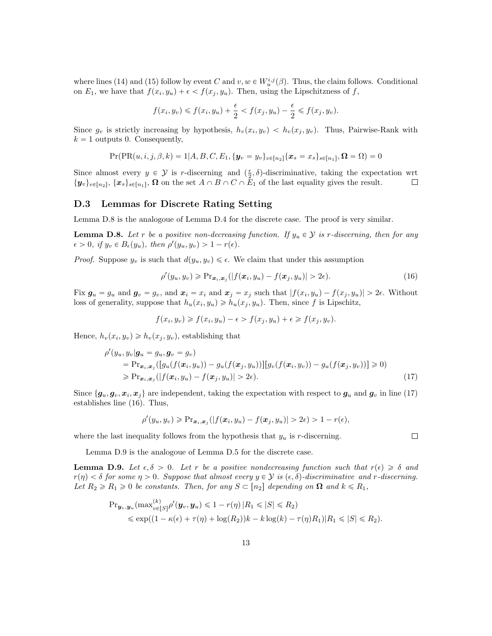where lines [\(14\)](#page-11-1) and [\(15\)](#page-11-2) follow by event C and  $v, w \in W_u^{i,j}(\beta)$ . Thus, the claim follows. Conditional on  $E_1$ , we have that  $f(x_i, y_u) + \epsilon < f(x_j, y_u)$ . Then, using the Lipschitzness of f,

$$
f(x_i, y_v) \leq f(x_i, y_u) + \frac{\epsilon}{2} < f(x_j, y_u) - \frac{\epsilon}{2} \leq f(x_j, y_v).
$$

Since  $g_v$  is strictly increasing by hypothesis,  $h_v(x_i, y_v) < h_v(x_j, y_v)$ . Thus, Pairwise-Rank with  $k = 1$  outputs 0. Consequently,

$$
Pr(PR(u, i, j, \beta, k) = 1 | A, B, C, E_1, \{y_v = y_v\}_{v \in [n_2]} \{\boldsymbol{x}_s = x_s\}_{s \in [n_1]}, \boldsymbol{\Omega} = \boldsymbol{\Omega}) = 0
$$

Since almost every  $y \in \mathcal{Y}$  is r-discerning and  $(\frac{\epsilon}{2}, \delta)$ -discriminative, taking the expectation wrt  $\{y_v\}_{v\in[n_2]}, \{x_s\}_{s\in[n_1]}, \Omega$  on the set  $A \cap B \cap C \cap E_1$  of the last equality gives the result.  $\Box$ 

#### D.3 Lemmas for Discrete Rating Setting

Lemma [D.8](#page-12-1) is the analogoue of Lemma [D.4](#page-9-1) for the discrete case. The proof is very similar.

<span id="page-12-1"></span>**Lemma D.8.** Let r be a positive non-decreasing function. If  $y_u \in \mathcal{Y}$  is r-discerning, then for any  $\epsilon > 0$ , if  $y_v \in B_{\epsilon}(y_u)$ , then  $\rho'(y_u, y_v) > 1 - r(\epsilon)$ .

*Proof.* Suppose  $y_v$  is such that  $d(y_u, y_v) \leq \epsilon$ . We claim that under this assumption

$$
\rho'(y_u, y_v) \geqslant \Pr_{\mathbf{x}_i, \mathbf{x}_j}(|f(\mathbf{x}_i, y_u) - f(\mathbf{x}_j, y_u)| > 2\epsilon). \tag{16}
$$

<span id="page-12-3"></span><span id="page-12-2"></span> $\Box$ 

Fix  $g_u = g_u$  and  $g_v = g_v$ , and  $x_i = x_i$  and  $x_j = x_j$  such that  $|f(x_i, y_u) - f(x_j, y_u)| > 2\epsilon$ . Without loss of generality, suppose that  $h_u(x_i, y_u) \geq h_u(x_j, y_u)$ . Then, since f is Lipschitz,

$$
f(x_i, y_v) \ge f(x_i, y_u) - \epsilon > f(x_j, y_u) + \epsilon \ge f(x_j, y_v).
$$

Hence,  $h_v(x_i, y_v) \geq h_v(x_j, y_v)$ , establishing that

$$
\rho'(y_u, y_v | \mathbf{g}_u = g_u, \mathbf{g}_v = g_v)
$$
\n
$$
= \Pr_{\mathbf{x}_i, \mathbf{x}_j} ([g_u(f(\mathbf{x}_i, y_u)) - g_u(f(\mathbf{x}_j, y_u))][g_v(f(\mathbf{x}_i, y_v)) - g_u(f(\mathbf{x}_j, y_v))]) \ge 0)
$$
\n
$$
\ge \Pr_{\mathbf{x}_i, \mathbf{x}_j} (|f(\mathbf{x}_i, y_u) - f(\mathbf{x}_j, y_u)| > 2\epsilon).
$$
\n(17)

Since  $\{g_u, g_v, x_i, x_j\}$  are independent, taking the expectation with respect to  $g_u$  and  $g_v$  in line [\(17\)](#page-12-2) establishes line [\(16\)](#page-12-3). Thus,

$$
\rho'(y_u, y_v) \geqslant \Pr_{\bm{x}_i, \bm{x}_j}(|f(\bm{x}_i, y_u) - f(\bm{x}_j, y_u)| > 2\epsilon) > 1 - r(\epsilon),
$$

where the last inequality follows from the hypothesis that  $y_u$  is r-discerning.

Lemma [D.9](#page-12-0) is the analogoue of Lemma [D.5](#page-10-0) for the discrete case.

<span id="page-12-0"></span>**Lemma D.9.** Let  $\epsilon, \delta > 0$ . Let r be a positive nondecreasing function such that  $r(\epsilon) \geq \delta$  and  $r(\eta) < \delta$  for some  $\eta > 0$ . Suppose that almost every  $y \in \mathcal{Y}$  is  $(\epsilon, \delta)$ -discriminative and r-discerning. Let  $R_2 \ge R_1 \ge 0$  be constants. Then, for any  $S \subset [n_2]$  depending on  $\Omega$  and  $k \le R_1$ ,

$$
\begin{aligned} \Pr_{\boldsymbol{y}_v, \boldsymbol{y}_u}(\max_{v \in [S]}^{(k)} \rho'(\boldsymbol{y}_v, \boldsymbol{y}_u) \leq 1 - r(\eta) \, |R_1 \leq |S| \leq R_2) \\ &\leq \exp((1 - \kappa(\epsilon) + \tau(\eta) + \log(R_2))k - k \log(k) - \tau(\eta) R_1) |R_1 \leq |S| \leq R_2). \end{aligned}
$$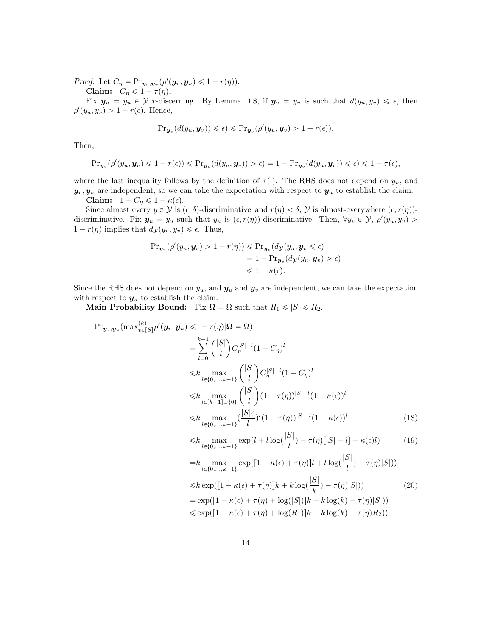*Proof.* Let  $C_{\eta} = \Pr_{\mathbf{y}_v, \mathbf{y}_u} (\rho'(\mathbf{y}_v, \mathbf{y}_u) \leq 1 - r(\eta)).$ 

Claim:  $C_{\eta} \leq 1 - \tau(\eta)$ .

Fix  $y_u = y_u \in Y$  r-discerning. By Lemma [D.8,](#page-12-1) if  $y_v = y_v$  is such that  $d(y_u, y_v) \leq \epsilon$ , then  $\rho'(y_u, y_v) > 1 - r(\epsilon)$ . Hence,

$$
\mathrm{Pr}_{\mathbf{y}_v}(d(y_u, \mathbf{y}_v)) \leq \epsilon) \leqslant \mathrm{Pr}_{\mathbf{y}_v}(\rho'(y_u, \mathbf{y}_v) > 1 - r(\epsilon)).
$$

Then,

$$
\mathrm{Pr}_{\mathbf{y}_v}(\rho'(y_u, \mathbf{y}_v) \leq 1 - r(\epsilon)) \leq \mathrm{Pr}_{\mathbf{y}_v}(d(y_u, \mathbf{y}_v)) > \epsilon) = 1 - \mathrm{Pr}_{\mathbf{y}_v}(d(y_u, \mathbf{y}_v)) \leq \epsilon) \leq 1 - \tau(\epsilon),
$$

where the last inequality follows by the definition of  $\tau(\cdot)$ . The RHS does not depend on  $y_u$ , and  $y_v, y_u$  are independent, so we can take the expectation with respect to  $y_u$  to establish the claim.

Claim:  $1 - C_\eta \leqslant 1 - \kappa(\epsilon)$ .

Since almost every  $y \in \mathcal{Y}$  is  $(\epsilon, \delta)$ -discriminative and  $r(\eta) < \delta$ ,  $\mathcal{Y}$  is almost-everywhere  $(\epsilon, r(\eta))$ discriminative. Fix  $y_u = y_u$  such that  $y_u$  is  $(\epsilon, r(\eta))$ -discriminative. Then,  $\forall y_v \in \mathcal{Y}, \rho'(y_u, y_v) >$  $1 - r(\eta)$  implies that  $d_{\mathcal{Y}}(y_u, y_v) \leq \epsilon$ . Thus,

<span id="page-13-2"></span><span id="page-13-1"></span><span id="page-13-0"></span>
$$
\Pr_{\mathbf{y}_v}(\rho'(y_u, \mathbf{y}_v) > 1 - r(\eta)) \leq \Pr_{\mathbf{y}_v}(d_{\mathcal{Y}}(y_u, \mathbf{y}_v \leq \epsilon)) \\
= 1 - \Pr_{\mathbf{y}_v}(d_{\mathcal{Y}}(y_u, \mathbf{y}_v) > \epsilon) \\
\leq 1 - \kappa(\epsilon).
$$

Since the RHS does not depend on  $y_u$ , and  $\mathbf{y}_u$  and  $\mathbf{y}_v$  are independent, we can take the expectation with respect to  $y_u$  to establish the claim.

Main Probability Bound: Fix  $\Omega = \Omega$  such that  $R_1 \leq |S| \leq R_2$ .

$$
\Pr_{\mathbf{y}_{v},\mathbf{y}_{u}}(\max_{v\in[S]}^{(k)} \rho'(\mathbf{y}_{v}, \mathbf{y}_{u}) \leq 1 - r(\eta)|\Omega = \Omega)
$$
\n
$$
= \sum_{l=0}^{k-1} \binom{|S|}{l} C_{\eta}^{|S|-l} (1 - C_{\eta})^{l}
$$
\n
$$
\leq k \max_{l \in \{0, \ldots, k-1\}} \binom{|S|}{l} C_{\eta}^{|S|-l} (1 - C_{\eta})^{l}
$$
\n
$$
\leq k \max_{l \in [k-1] \cup \{0\}} \binom{|S|}{l} (1 - \tau(\eta))^{|S|-l} (1 - \kappa(\epsilon))^{l}
$$
\n
$$
\leq k \max_{l \in \{0, \ldots, k-1\}} \frac{|S|e}{l} (1 - \tau(\eta))^{|S|-l} (1 - \kappa(\epsilon))^{l}
$$
\n
$$
\leq k \max_{l \in \{0, \ldots, k-1\}} \exp(l + l \log(\frac{|S|}{l}) - \tau(\eta)[|S| - l] - \kappa(\epsilon)l) \tag{19}
$$
\n
$$
= k \max_{l \in \{0, \ldots, k-1\}} \exp([1 - \kappa(\epsilon) + \tau(\eta)]l + l \log(\frac{|S|}{l}) - \tau(\eta)|S|)
$$
\n
$$
\leq k \exp([1 - \kappa(\epsilon) + \tau(\eta)]k + k \log(\frac{|S|}{k}) - \tau(\eta)|S|)
$$
\n
$$
= \exp([1 - \kappa(\epsilon) + \tau(\eta) + \log(|S|)]k - k \log(k) - \tau(\eta)|S|)
$$
\n
$$
\leq \exp([1 - \kappa(\epsilon) + \tau(\eta) + \log(|R_1]|k - k \log(k) - \tau(\eta)|R_2))
$$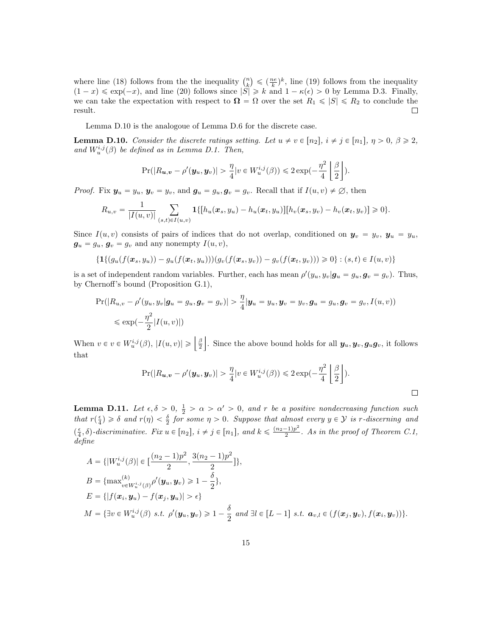where line [\(18\)](#page-13-0) follows from the the inequality  $\binom{n}{k}$  $\leqslant \left(\frac{ne}{k}\right)^k$ , line [\(19\)](#page-13-1) follows from the inequality  $(1-x) \le \exp(-x)$ , and line [\(20\)](#page-13-2) follows since  $|\widetilde{S}| \ge k$  and  $1 - \kappa(\epsilon) > 0$  by Lemma [D.3.](#page-9-0) Finally, we can take the expectation with respect to  $\Omega = \Omega$  over the set  $R_1 \leqslant |S| \leqslant R_2$  to conclude the result.  $\Box$ 

Lemma [D.10](#page-14-0) is the analogoue of Lemma [D.6](#page-10-1) for the discrete case.

<span id="page-14-0"></span>**Lemma D.10.** Consider the discrete ratings setting. Let  $u \neq v \in [n_2], i \neq j \in [n_1], \eta > 0, \beta \geq 2$ , and  $W_u^{i,j}(\beta)$  be defined as in Lemma [D.1.](#page-7-1) Then,

$$
\Pr(|R_{\boldsymbol{u},\boldsymbol{v}} - \rho'(\boldsymbol{y}_u, \boldsymbol{y}_v)| > \frac{\eta}{4} |v \in W^{i,j}_u(\beta)) \leq 2 \exp(-\frac{\eta^2}{4} \left \lfloor \frac{\beta}{2} \right \rfloor).
$$

*Proof.* Fix  $y_u = y_u$ ,  $y_v = y_v$ , and  $g_u = g_u$ ,  $g_v = g_v$ . Recall that if  $I(u, v) \neq \emptyset$ , then

$$
R_{u,v} = \frac{1}{|I(u,v)|} \sum_{(s,t) \in I(u,v)} \mathbf{1}\{[h_u(\bm{x}_s,y_u) - h_u(\bm{x}_t,y_u)][h_v(\bm{x}_s,y_v) - h_v(\bm{x}_t,y_v)] \geq 0\}.
$$

Since  $I(u, v)$  consists of pairs of indices that do not overlap, conditioned on  $y_v = y_v$ ,  $y_u = y_u$ ,  $g_u = g_u, g_v = g_v$  and any nonempty  $I(u, v)$ ,

$$
\{ \mathbf{1} \{ (g_u(f(\mathbf{x}_s, y_u)) - g_u(f(\mathbf{x}_t, y_u))) (g_v(f(\mathbf{x}_s, y_v)) - g_v(f(\mathbf{x}_t, y_v))) \geq 0 \} : (s, t) \in I(u, v) \}
$$

is a set of independent random variables. Further, each has mean  $\rho'(y_u, y_v|\mathbf{g}_u = g_u, \mathbf{g}_v = g_v)$ . Thus, by Chernoff's bound (Proposition [G.1\)](#page-20-3),

$$
\Pr(|R_{u,v} - \rho'(y_u, y_v|\mathbf{g}_u = g_u, \mathbf{g}_v = g_v)| > \frac{\eta}{4} |\mathbf{y}_u = y_u, \mathbf{y}_v = y_v, \mathbf{g}_u = g_u, \mathbf{g}_v = g_v, I(u, v))
$$
  

$$
\leq \exp(-\frac{\eta^2}{2}|I(u, v)|)
$$

When  $v \in v \in W_u^{i,j}(\beta)$ ,  $|I(u, v)| \geqslant \left| \frac{\beta}{2} \right|$ . Since the above bound holds for all  $y_u, y_v, g_u g_v$ , it follows that Z  $\mathbf{r}$ 

$$
\Pr(|R_{\boldsymbol{u},\boldsymbol{v}} - \rho'(\boldsymbol{y}_u,\boldsymbol{y}_v)| > \frac{\eta}{4}|v \in W^{i,j}_u(\beta)) \leq 2\exp(-\frac{\eta^2}{4}\left\lfloor \frac{\beta}{2}\right\rfloor).
$$

 $\Box$ 

<span id="page-14-1"></span>**Lemma D.11.** Let  $\epsilon, \delta > 0, \frac{1}{2} > \alpha > \alpha' > 0$ , and r be a positive nondecreasing function such that  $r(\frac{\epsilon}{4}) \geq \delta$  and  $r(\eta) < \frac{\delta}{2}$  for some  $\eta > 0$ . Suppose that almost every  $y \in \mathcal{Y}$  is r-discerning and  $(\frac{\epsilon}{4}, \delta)$ -discriminative. Fix  $u \in [n_2]$ ,  $i \neq j \in [n_1]$ , and  $k \leq \frac{(n_2-1)p^2}{2}$  $\frac{(-1)p}{2}$ . As in the proof of Theorem [C.1,](#page-4-0) define

$$
A = \{ |W_u^{i,j}(\beta)| \in \left[\frac{(n_2 - 1)p^2}{2}, \frac{3(n_2 - 1)p^2}{2}\right] \},\
$$
  
\n
$$
B = \{ \max_{v \in W_u^{i,j}(\beta)}^{(k)} \rho'(\mathbf{y}_u, \mathbf{y}_v) \ge 1 - \frac{\delta}{2} \},\
$$
  
\n
$$
E = \{ |f(\mathbf{x}_i, \mathbf{y}_u) - f(\mathbf{x}_j, \mathbf{y}_u)| > \epsilon \}
$$
  
\n
$$
M = \{ \exists v \in W_u^{i,j}(\beta) \text{ s.t. } \rho'(\mathbf{y}_u, \mathbf{y}_v) \ge 1 - \frac{\delta}{2} \text{ and } \exists l \in [L - 1] \text{ s.t. } \mathbf{a}_{v,l} \in (f(\mathbf{x}_j, \mathbf{y}_v), f(\mathbf{x}_i, \mathbf{y}_v)) \}.
$$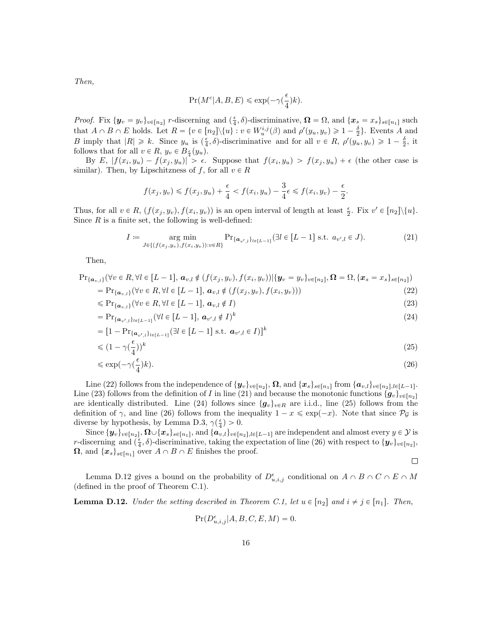Then,

$$
\Pr(M^c|A,B,E) \leqslant \exp\left(-\gamma(\frac{\epsilon}{4})k\right).
$$

*Proof.* Fix  $\{y_v = y_v\}_{v \in [n_2]}$  r-discerning and  $(\frac{\epsilon}{4}, \delta)$ -discriminative,  $\mathbf{\Omega} = \Omega$ , and  $\{\mathbf{x}_s = x_s\}_{s \in [n_1]}$  such that  $A \cap B \cap E$  holds. Let  $R = \{v \in [n_2] \setminus \{u\} : v \in W_u^{i,j}(\beta) \text{ and } \rho'(y_u, y_v) \geq 1 - \frac{\delta}{2}\}$ . Events A and B imply that  $|R| \geq k$ . Since  $y_u$  is  $(\frac{\epsilon}{4}, \delta)$ -discriminative and for all  $v \in R$ ,  $\rho'(y_u, y_v) \geq 1 - \frac{\delta}{2}$ , it follows that for all  $v \in R$ ,  $y_v \in B_{\frac{\epsilon}{4}}(y_u)$ .

By  $E$ ,  $|f(x_i, y_u) - f(x_j, y_u)| > \epsilon$ . Suppose that  $f(x_i, y_u) > f(x_j, y_u) + \epsilon$  (the other case is similar). Then, by Lipschitzness of f, for all  $v \in R$ 

$$
f(x_j, y_v) \leq f(x_j, y_u) + \frac{\epsilon}{4} < f(x_i, y_u) - \frac{3}{4}\epsilon \leq f(x_i, y_v) - \frac{\epsilon}{2}.
$$

Thus, for all  $v \in R$ ,  $(f(x_j, y_v), f(x_i, y_v))$  is an open interval of length at least  $\frac{\epsilon}{2}$ . Fix  $v' \in [n_2] \setminus \{u\}$ . Since  $R$  is a finite set, the following is well-defined:

$$
I := \underset{J \in \{ (f(x_j, y_v), f(x_i, y_v)) : v \in R \}}{\arg \min} \Pr_{\{a_{v',l}\}_{l \in [L-1]} } (\exists l \in [L-1] \text{ s.t. } a_{v',l} \in J).
$$
 (21)

Then,

$$
\Pr_{\{a_{v,l}\}}(\forall v \in R, \forall l \in [L-1], a_{v,l} \notin (f(x_j, y_v), f(x_i, y_v)) | \{y_v = y_v\}_{v \in [n_2]}, \Omega = \Omega, \{x_s = x_s\}_{s \in [n_2]})
$$

$$
= \Pr_{\{a_{v,l}\}}(\forall v \in R, \forall l \in [L-1], a_{v,l} \notin (f(x_j, y_v), f(x_i, y_v))) \tag{22}
$$

$$
\leqslant \Pr_{\{a_{v,l}\}}(\forall v \in R, \forall l \in [L-1], \, a_{v,l} \notin I)
$$
\n
$$
(23)
$$

$$
= \Pr_{\{a_{v',l}\}_{l \in [L-1]}} (\forall l \in [L-1], \, a_{v',l} \notin I)^k \tag{24}
$$

$$
= [1 - \Pr_{\{\boldsymbol{a}_{v',l}\}_{l \in [L-1]}} (\exists l \in [L-1] \text{ s.t. } \boldsymbol{a}_{v',l} \in I)]^k
$$
  
\$\leq (1 - \gamma(\frac{\epsilon}{4}))^k\$ (25)

$$
\leqslant \exp\left(-\gamma\left(\frac{\epsilon}{4}\right)k\right). \tag{26}
$$

Line [\(22\)](#page-15-1) follows from the independence of  $\{y_v\}_{v \in [n_2]}$ ,  $\Omega$ , and  $\{x_s\}_{s \in [n_1]}$  from  $\{a_{v,l}\}_{v \in [n_2], l \in [L-1]}$ . Line [\(23\)](#page-15-2) follows from the definition of I in line [\(21\)](#page-15-3) and because the monotonic functions  $\{g_v\}_{v\in[n_2]}$ are identically distributed. Line [\(24\)](#page-15-4) follows since  $\{g_v\}_{v\in R}$  are i.i.d., line [\(25\)](#page-15-5) follows from the definition of  $\gamma$ , and line [\(26\)](#page-15-6) follows from the inequality  $1 - x \leq \exp(-x)$ . Note that since  $\mathcal{P}_{\mathcal{G}}$  is diverse by hypothesis, by Lemma [D.3,](#page-9-0)  $\gamma(\frac{\epsilon}{4}) > 0$ .

Since  $\{\bm y_v\}_{v\in[n_2]},$   $\Omega\cup\{\bm x_s\}_{s\in[n_1]},$  and  $\{\bm a_{v,l}\}_{v\in[n_2],l\in[L-1]}$  are independent and almost every  $y\in\mathcal{Y}$  is r-discerning and  $(\frac{\epsilon}{4}, \delta)$ -discriminative, taking the expectation of line [\(26\)](#page-15-6) with respect to  $\{y_v\}_{v\in[n_2]}$ ,  $\Omega$ , and  $\{x_s\}_{s \in [n_1]}$  over  $A \cap B \cap E$  finishes the proof.

<span id="page-15-6"></span><span id="page-15-5"></span><span id="page-15-4"></span><span id="page-15-3"></span><span id="page-15-2"></span><span id="page-15-1"></span>
$$
\qquad \qquad \Box
$$

Lemma [D.12](#page-15-0) gives a bound on the probability of  $D_{u,i,j}^{\epsilon}$  conditional on  $A \cap B \cap C \cap E \cap M$ (defined in the proof of Theorem [C.1\)](#page-4-0).

<span id="page-15-0"></span>**Lemma D.12.** Under the setting described in Theorem [C.1,](#page-4-0) let  $u \in [n_2]$  and  $i \neq j \in [n_1]$ . Then,

$$
Pr(D_{u,i,j}^{\epsilon}|A, B, C, E, M) = 0.
$$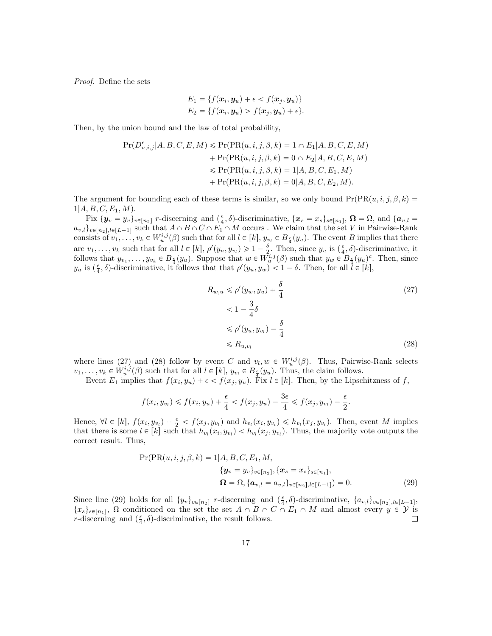Proof. Define the sets

$$
E_1 = \{f(\boldsymbol{x}_i, \boldsymbol{y}_u) + \epsilon < f(\boldsymbol{x}_j, \boldsymbol{y}_u)\}
$$
\n
$$
E_2 = \{f(\boldsymbol{x}_i, \boldsymbol{y}_u) > f(\boldsymbol{x}_j, \boldsymbol{y}_u) + \epsilon\}.
$$

Then, by the union bound and the law of total probability,

$$
Pr(D_{u,i,j}^{\epsilon}|A, B, C, E, M) \leq Pr(PR(u,i,j,\beta,k) = 1 \cap E_1|A, B, C, E, M) + Pr(PR(u,i,j,\beta,k) = 0 \cap E_2|A, B, C, E, M) \leq Pr(PR(u,i,j,\beta,k) = 1|A, B, C, E_1, M) + Pr(PR(u,i,j,\beta,k) = 0|A, B, C, E_2, M).
$$

The argument for bounding each of these terms is similar, so we only bound  $Pr(PR(u, i, j, \beta, k))$  $1|A, B, C, E_1, M$ .

Fix  $\{y_v = y_v\}_{v \in [n_2]}$  r-discerning and  $(\frac{\epsilon}{4}, \delta)$ -discriminative,  $\{x_s = x_s\}_{s \in [n_1]}$ ,  $\Omega = \Omega$ , and  $\{a_{v,l} =$  $a_{v,l}\}_{v\in[n_2],l\in[L-1]}$  such that  $A\cap B\cap C\cap E_1\cap M$  occurs . We claim that the set V in Pairwise-Rank consists of  $v_1, \ldots, v_k \in W_u^{i,j}(\beta)$  such that for all  $l \in [k]$ ,  $y_{v_l} \in B_{\frac{\epsilon}{4}}(y_u)$ . The event B implies that there are  $v_1, \ldots, v_k$  such that for all  $l \in [k]$ ,  $\rho'(y_u, y_{v_l}) \geq 1 - \frac{\delta}{2}$ . Then, since  $y_u$  is  $(\frac{\epsilon}{4}, \delta)$ -discriminative, it follows that  $y_{v_1}, \ldots, y_{v_k} \in B_{\frac{\epsilon}{4}}(y_u)$ . Suppose that  $w \in W^{i,j}_u(\beta)$  such that  $y_w \in B_{\frac{\epsilon}{4}}(y_u)^c$ . Then, since  $y_u$  is  $(\frac{\epsilon}{4}, \delta)$ -discriminative, it follows that that  $\rho'(y_u, y_w) < 1 - \delta$ . Then, for all  $l \in [k]$ ,

$$
R_{w,u} \leqslant \rho'(y_w, y_u) + \frac{\delta}{4}
$$
\n
$$
< 1 - \frac{3}{4}\delta
$$
\n
$$
\leqslant \rho'(y_u, y_{v_l}) - \frac{\delta}{4}
$$
\n
$$
\leqslant R_{u,v_l} \tag{28}
$$

<span id="page-16-2"></span><span id="page-16-1"></span><span id="page-16-0"></span>.

where lines [\(27\)](#page-16-0) and [\(28\)](#page-16-1) follow by event C and  $v_l, w \in W_u^{i,j}(\beta)$ . Thus, Pairwise-Rank selects  $v_1, \ldots, v_k \in W_u^{i,j}(\beta)$  such that for all  $l \in [k]$ ,  $y_{v_l} \in B_{\frac{\epsilon}{4}}(y_u)$ . Thus, the claim follows.

Event  $E_1$  implies that  $f(x_i, y_u) + \epsilon < f(x_j, y_u)$ . Fix  $l \in [k]$ . Then, by the Lipschitzness of f,

$$
f(x_i, y_{v_l}) \le f(x_i, y_u) + \frac{\epsilon}{4} < f(x_j, y_u) - \frac{3\epsilon}{4} \le f(x_j, y_{v_l}) - \frac{\epsilon}{2}
$$

Hence,  $\forall l \in [k]$ ,  $f(x_i, y_{v_l}) + \frac{\epsilon}{2} < f(x_j, y_{v_l})$  and  $h_{v_l}(x_i, y_{v_l}) \leq h_{v_l}(x_j, y_{v_l})$ . Then, event M implies that there is some  $l \in [k]$  such that  $h_{v_l}(x_i, y_{v_l}) < h_{v_l}(x_j, y_{v_l})$ . Thus, the majority vote outputs the correct result. Thus,

$$
\Pr(\Pr(u, i, j, \beta, k) = 1 | A, B, C, E_1, M, \n\{y_v = y_v\}_{v \in [n_2],} \{\boldsymbol{x}_s = x_s\}_{s \in [n_1]}, \n\Omega = \Omega, \{\boldsymbol{a}_{v,l} = a_{v,l}\}_{v \in [n_2], l \in [L-1]}) = 0.
$$
\n(29)

Since line [\(29\)](#page-16-2) holds for all  $\{y_v\}_{v \in [n_2]}$  r-discerning and  $(\frac{\epsilon}{4}, \delta)$ -discriminative,  $\{a_{v,l}\}_{v \in [n_2], l \in [L-1]}$ ,  $\{x_s\}_{s\in[n_1]}, \Omega$  conditioned on the set the set  $A \cap B \cap C \cap E_1 \cap M$  and almost every  $y \in Y$  is r-discerning and  $(\frac{\epsilon}{4}, \delta)$ -discriminative, the result follows.  $\Box$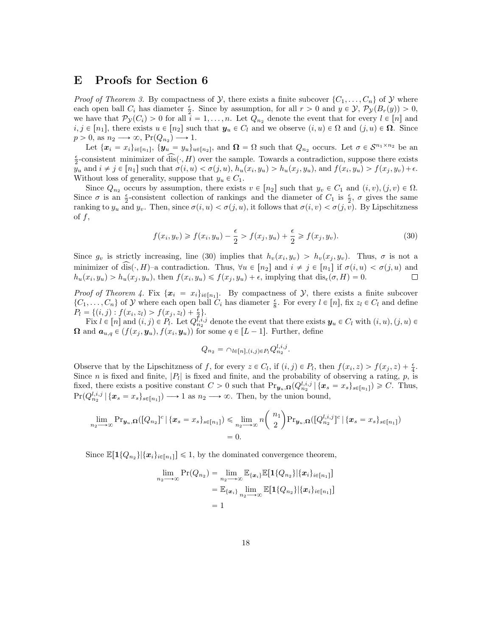# <span id="page-17-0"></span>E Proofs for Section [6](#page-19-0)

*Proof of Theorem [3.](#page-0-1)* By compactness of  $\mathcal{Y}$ , there exists a finite subcover  $\{C_1, \ldots, C_n\}$  of  $\mathcal{Y}$  where each open ball  $C_i$  has diameter  $\frac{\epsilon}{2}$ . Since by assumption, for all  $r > 0$  and  $y \in \mathcal{Y}, \mathcal{P}_{\mathcal{Y}}(B_r(y)) > 0$ , we have that  $\mathcal{P}_{\mathcal{Y}}(C_i) > 0$  for all  $i = 1, ..., n$ . Let  $Q_{n_2}$  denote the event that for every  $l \in [n]$  and  $i, j \in [n_1],$  there exists  $u \in [n_2]$  such that  $y_u \in C_l$  and we observe  $(i, u) \in \Omega$  and  $(j, u) \in \Omega$ . Since  $p > 0$ , as  $n_2 \longrightarrow \infty$ ,  $Pr(Q_{n_2}) \longrightarrow 1$ .

Let  $\{\boldsymbol{x}_i = x_i\}_{i \in [n_1]}, \ \{y_u = y_u\}_{u \in [n_2]}, \text{ and } \boldsymbol{\Omega} = \Omega \text{ such that } Q_{n_2} \text{ occurs. Let } \sigma \in \mathcal{S}^{n_1 \times n_2} \text{ be an }$  $\frac{\epsilon}{2}$ -consistent minimizer of  $\widehat{\text{dis}}(\cdot, H)$  over the sample. Towards a contradiction, suppose there exists  $y_u$  and  $i \neq j \in [n_1]$  such that  $\sigma(i, u) < \sigma(j, u)$ ,  $h_u(x_i, y_u) > h_u(x_j, y_u)$ , and  $f(x_i, y_u) > f(x_j, y_v) + \epsilon$ . Without loss of generality, suppose that  $y_u \in C_1$ .

Since  $Q_{n_2}$  occurs by assumption, there exists  $v \in [n_2]$  such that  $y_v \in C_1$  and  $(i, v), (j, v) \in \Omega$ . Since  $\sigma$  is an  $\frac{\epsilon}{2}$ -consistent collection of rankings and the diameter of  $C_1$  is  $\frac{\epsilon}{2}$ ,  $\sigma$  gives the same ranking to  $y_u$  and  $y_v$ . Then, since  $\sigma(i, u) < \sigma(j, u)$ , it follows that  $\sigma(i, v) < \sigma(j, v)$ . By Lipschitzness of  $f$ ,

$$
f(x_i, y_v) \ge f(x_i, y_u) - \frac{\epsilon}{2} > f(x_j, y_u) + \frac{\epsilon}{2} \ge f(x_j, y_v).
$$
\n(30)

Since  $g_v$  is strictly increasing, line [\(30\)](#page-17-1) implies that  $h_v(x_i, y_v) > h_v(x_j, y_v)$ . Thus,  $\sigma$  is not a minimizer of dis $(\cdot, H)$ –a contradiction. Thus,  $\forall u \in [n_2]$  and  $i \neq j \in [n_1]$  if  $\sigma(i, u) < \sigma(j, u)$  and  $h_u(x_i, y_u) > h_u(x_j, y_u)$ , then  $f(x_i, y_u) \leq f(x_j, y_u) + \epsilon$ , implying that  $dis_{\epsilon}(\sigma, H) = 0$ .  $\Box$ 

*Proof of Theorem [4.](#page-0-1)* Fix  $\{x_i = x_i\}_{i \in [n_1]}$ . By compactness of  $\mathcal{Y}$ , there exists a finite subcover  $\{C_1,\ldots,C_n\}$  of  $\mathcal Y$  where each open ball  $C_i$  has diameter  $\frac{\epsilon}{8}$ . For every  $l \in [n]$ , fix  $z_l \in C_l$  and define  $P_l = \{(i, j) : f(x_i, z_l) > f(x_j, z_l) + \frac{\epsilon}{2}\}.$ 

Fix  $l \in [n]$  and  $(i, j) \in P_l$ . Let  $Q_{n_2}^{l,i,j}$  denote the event that there exists  $y_u \in C_l$  with  $(i, u), (j, u) \in$  $\Omega$  and  $a_{u,q} \in (f(x_j, y_u), f(x_i, y_u))$  for some  $q \in [L - 1]$ . Further, define

<span id="page-17-1"></span>
$$
Q_{n_2} = \cap_{l \in [n], (i,j) \in P_l} Q_{n_2}^{l, i, j}.
$$

Observe that by the Lipschitzness of f, for every  $z \in C_l$ , if  $(i, j) \in P_l$ , then  $f(x_i, z) > f(x_j, z) + \frac{\epsilon}{4}$ . Since *n* is fixed and finite,  $|P_1|$  is fixed and finite, and the probability of observing a rating, *p*, is fixed, there exists a positive constant  $C > 0$  such that  $\Pr_{\mathbf{y}_u,\mathbf{\Omega}}(Q_{n_2}^{l,i,j} | \{\mathbf{x}_s = x_s\}_{s \in [n_1]}) \geq C$ . Thus,  $Pr(Q_{n_2}^{l,i,j} | {\mathbf{x}_s = x_s}_{s \in [n_1]}) \longrightarrow 1$  as  $n_2 \longrightarrow \infty$ . Then, by the union bound,

$$
\lim_{n_2 \to \infty} \Pr_{\mathbf{y}_u, \Omega}([\mathcal{Q}_{n_2}]^c | \{\mathbf{x}_s = x_s\}_{s \in [n_1]}) \le \lim_{n_2 \to \infty} n \binom{n_1}{2} \Pr_{\mathbf{y}_u, \Omega}([\mathcal{Q}_{n_2}^{l, i, j}]^c | \{\mathbf{x}_s = x_s\}_{s \in [n_1]})
$$
  
= 0.

Since  $\mathbb{E}[\mathbf{1}{Q_{n_2}}|{\x_i}_{i\in[n_1]}] \leq 1$ , by the dominated convergence theorem,

$$
\lim_{n_2 \to \infty} \Pr(Q_{n_2}) = \lim_{n_2 \to \infty} \mathbb{E}_{\{\boldsymbol{x}_i\}} \mathbb{E}[\mathbf{1}\{Q_{n_2}\}|\{\boldsymbol{x}_i\}_{i \in [n_1]}]
$$

$$
= \mathbb{E}_{\{\boldsymbol{x}_i\}} \lim_{n_2 \to \infty} \mathbb{E}[\mathbf{1}\{Q_{n_2}\}|\{\boldsymbol{x}_i\}_{i \in [n_1]}]
$$

$$
= 1
$$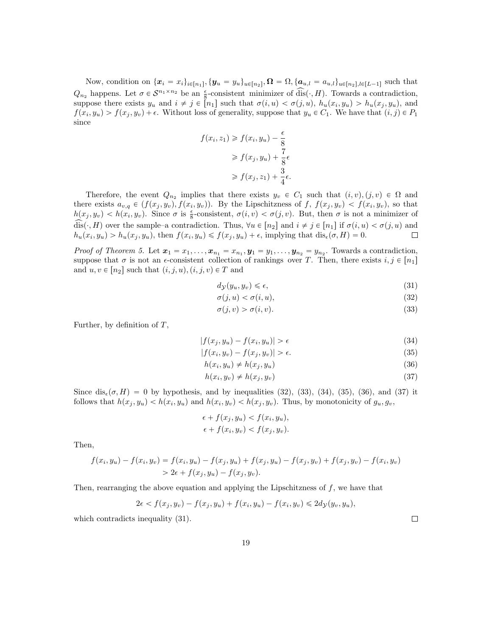Now, condition on  $\{x_i = x_i\}_{i \in [n_1]}, \{y_u = y_u\}_{u \in [n_2]}, \Omega = \Omega, \{a_{u,l} = a_{u,l}\}_{u \in [n_2], l \in [L-1]}$  such that  $Q_{n_2}$  happens. Let  $\sigma \in \mathcal{S}^{n_1 \times n_2}$  be an  $\frac{\epsilon}{8}$ -consistent minimizer of dis $(\cdot, H)$ . Towards a contradiction, suppose there exists  $y_u$  and  $i \neq j \in [n_1]$  such that  $\sigma(i, u) < \sigma(j, u)$ ,  $h_u(x_i, y_u) > h_u(x_j, y_u)$ , and  $f(x_i, y_u) > f(x_j, y_v) + \epsilon$ . Without loss of generality, suppose that  $y_u \in C_1$ . We have that  $(i, j) \in P_1$ since

$$
f(x_i, z_1) \ge f(x_i, y_u) - \frac{\epsilon}{8}
$$
  
\n
$$
\ge f(x_j, y_u) + \frac{7}{8}\epsilon
$$
  
\n
$$
\ge f(x_j, z_1) + \frac{3}{4}\epsilon.
$$

Therefore, the event  $Q_{n_2}$  implies that there exists  $y_v \in C_1$  such that  $(i, v), (j, v) \in \Omega$  and there exists  $a_{v,q} \in (f(x_j, y_v), f(x_i, y_v))$ . By the Lipschitzness of f,  $f(x_j, y_v) < f(x_i, y_v)$ , so that  $h(x_j, y_v) < h(x_i, y_v)$ . Since  $\sigma$  is  $\frac{\epsilon}{8}$ -consistent,  $\sigma(i, v) < \sigma(j, v)$ . But, then  $\sigma$  is not a minimizer of dis $(x, H)$  over the sample–a contradiction. Thus,  $\forall u \in [n_2]$  and  $i \neq j \in [n_1]$  if  $\sigma(i, u) < \sigma(j, u)$  and  $\Box$  $h_u(x_i, y_u) > h_u(x_j, y_u)$ , then  $f(x_i, y_u) \leq f(x_j, y_u) + \epsilon$ , implying that  $dis_{\epsilon}(\sigma, H) = 0$ .

*Proof of Theorem [5.](#page-0-1)* Let  $x_1 = x_1, \ldots, x_{n_1} = x_{n_1}, y_1 = y_1, \ldots, y_{n_2} = y_{n_2}$ . Towards a contradiction, suppose that  $\sigma$  is not an  $\epsilon$ -consistent collection of rankings over T. Then, there exists  $i, j \in [n_1]$ and  $u, v \in [n_2]$  such that  $(i, j, u), (i, j, v) \in T$  and

$$
d_{\mathcal{Y}}(y_u, y_v) \le \epsilon,\tag{31}
$$

<span id="page-18-6"></span><span id="page-18-1"></span><span id="page-18-0"></span>
$$
\sigma(j, u) < \sigma(i, u),\tag{32}
$$

$$
\sigma(j, v) > \sigma(i, v). \tag{33}
$$

Further, by definition of  $T$ ,

$$
|f(x_j, y_u) - f(x_i, y_u)| > \epsilon \tag{34}
$$

$$
|f(x_i, y_v) - f(x_j, y_v)| > \epsilon.
$$
\n(35)

$$
h(x_i, y_u) \neq h(x_j, y_u) \tag{36}
$$

$$
h(x_i, y_v) \neq h(x_j, y_v) \tag{37}
$$

Since  $dis_{\epsilon}(\sigma, H) = 0$  by hypothesis, and by inequalities [\(32\)](#page-18-0), [\(33\)](#page-18-1), [\(34\)](#page-18-2), [\(35\)](#page-18-3), [\(36\)](#page-18-4), and [\(37\)](#page-18-5) it follows that  $h(x_j, y_u) < h(x_i, y_u)$  and  $h(x_i, y_v) < h(x_j, y_v)$ . Thus, by monotonicity of  $g_u, g_v$ ,

$$
\epsilon + f(x_j, y_u) < f(x_i, y_u), \\
\epsilon + f(x_i, y_v) < f(x_j, y_v).
$$

Then,

$$
f(x_i, y_u) - f(x_i, y_v) = f(x_i, y_u) - f(x_j, y_u) + f(x_j, y_u) - f(x_j, y_v) + f(x_j, y_v) - f(x_i, y_v)
$$
  
> 2 $\epsilon$  +  $f(x_j, y_u) - f(x_j, y_v)$ .

Then, rearranging the above equation and applying the Lipschitzness of  $f$ , we have that

$$
2\epsilon < f(x_j, y_v) - f(x_j, y_u) + f(x_i, y_u) - f(x_i, y_v) \le 2d_{\mathcal{Y}}(y_v, y_u),
$$

which contradicts inequality  $(31)$ .

<span id="page-18-5"></span><span id="page-18-4"></span><span id="page-18-3"></span><span id="page-18-2"></span> $\Box$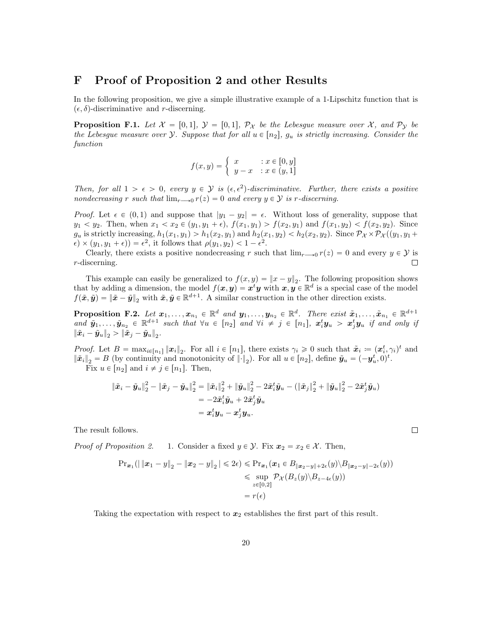### <span id="page-19-0"></span>F Proof of Proposition [2](#page-0-1) and other Results

In the following proposition, we give a simple illustrative example of a 1-Lipschitz function that is  $(\epsilon, \delta)$ -discriminative and r-discerning.

**Proposition F.1.** Let  $\mathcal{X} = [0, 1], \mathcal{Y} = [0, 1], \mathcal{P}_{\mathcal{X}}$  be the Lebesgue measure over  $\mathcal{X}$ , and  $\mathcal{P}_{\mathcal{Y}}$  be the Lebesgue measure over Y. Suppose that for all  $u \in [n_2]$ ,  $g_u$  is strictly increasing. Consider the function

$$
f(x,y) = \begin{cases} x & \text{: } x \in [0,y] \\ y-x & \text{: } x \in (y,1] \end{cases}
$$

Then, for all  $1 > \epsilon > 0$ , every  $y \in \mathcal{Y}$  is  $(\epsilon, \epsilon^2)$ -discriminative. Further, there exists a positive nondecreasing r such that  $\lim_{r\to 0} r(z) = 0$  and every  $y \in Y$  is r-discerning.

*Proof.* Let  $\epsilon \in (0, 1)$  and suppose that  $|y_1 - y_2| = \epsilon$ . Without loss of generality, suppose that  $y_1 < y_2$ . Then, when  $x_1 < x_2 \in (y_1, y_1 + \epsilon)$ ,  $f(x_1, y_1) > f(x_2, y_1)$  and  $f(x_1, y_2) < f(x_2, y_2)$ . Since  $g_u$  is strictly increasing,  $h_1(x_1, y_1) > h_1(x_2, y_1)$  and  $h_2(x_1, y_2) < h_2(x_2, y_2)$ . Since  $\mathcal{P}_{\mathcal{X}} \times \mathcal{P}_{\mathcal{X}}((y_1, y_1 + y_2))$  $\epsilon$   $\times$   $(y_1, y_1 + \epsilon)$  =  $\epsilon^2$ , it follows that  $\rho(y_1, y_2)$  < 1 -  $\epsilon^2$ .

Clearly, there exists a positive nondecreasing r such that  $\lim_{r\to 0} r(z) = 0$  and every  $y \in Y$  is r-discerning. □

This example can easily be generalized to  $f(x, y) = ||x - y||_2$ . The following proposition shows that by adding a dimension, the model  $f(x, y) = x^t y$  with  $x, y \in \mathbb{R}^d$  is a special case of the model  $f(\tilde{x}, \tilde{y}) = \|\tilde{x} - \tilde{y}\|_2$  with  $\tilde{x}, \tilde{y} \in \mathbb{R}^{d+1}$ . A similar construction in the other direction exists.

**Proposition F.2.** Let  $x_1, \ldots, x_{n_1} \in \mathbb{R}^d$  and  $y_1, \ldots, y_{n_2} \in \mathbb{R}^d$ . There exist  $\tilde{x}_1, \ldots, \tilde{x}_{n_1} \in \mathbb{R}^{d+1}$ and  $\tilde{\mathbf{y}}_1, \ldots, \tilde{\mathbf{y}}_{n_2} \in \mathbb{R}^{d+1}$  such that  $\forall u \in [n_2]$  and  $\forall i \neq j \in [n_1]$ ,  $\mathbf{x}_i^t \mathbf{y}_u > \mathbf{x}_j^t \mathbf{y}_u$  if and only if  $\left\|{\tilde{x}}_i-{\tilde{y}}_u\right\|_2 > \left\|{\tilde{x}}_j-{\tilde{y}}_u\right\|_2.$ 

*Proof.* Let  $B = \max_{i \in [n_1]} ||x_i||_2$ . For all  $i \in [n_1]$ , there exists  $\gamma_i \geq 0$  such that  $\tilde{x}_i := (x_i^t, \gamma_i)^t$  and  $\|\tilde{x}_i\|_2 = B$  (by continuity and monotonicity of  $\|\cdot\|_2$ ). For all  $u \in [n_2]$ , define  $\tilde{y}_u = (-y_u^t, 0)^t$ . Fix  $u \in |n_2|$  and  $i \neq j \in |n_1|$ . Then,

$$
\begin{aligned} \|\tilde{x}_i - \tilde{y}_u\|_2^2 - \|\tilde{x}_j - \tilde{y}_u\|_2^2 &= \|\tilde{x}_i\|_2^2 + \|\tilde{y}_u\|_2^2 - 2\tilde{x}_i^t\tilde{y}_u - (\|\tilde{x}_j\|_2^2 + \|\tilde{y}_u\|_2^2 - 2\tilde{x}_j^t\tilde{y}_u) \\ &= -2\tilde{x}_i^t\tilde{y}_u + 2\tilde{x}_j^t\tilde{y}_u \\ &= \boldsymbol{x}_i^t\boldsymbol{y}_u - \boldsymbol{x}_j^t\boldsymbol{y}_u. \end{aligned}
$$

The result follows.

*Proof of Proposition [2.](#page-0-1)* 1. Consider a fixed  $y \in \mathcal{Y}$ . Fix  $x_2 = x_2 \in \mathcal{X}$ . Then,

$$
\begin{aligned} \Pr_{\mathbf{x}_1}(|\|\mathbf{x}_1 - \mathbf{y}\|_2 - \|\mathbf{x}_2 - \mathbf{y}\|_2| &\le 2\epsilon) \le \Pr_{\mathbf{x}_1}(\mathbf{x}_1 \in B_{\|\mathbf{x}_2 - \mathbf{y}\| + 2\epsilon}(\mathbf{y}) \setminus B_{\|\mathbf{x}_2 - \mathbf{y}\| - 2\epsilon}(\mathbf{y})) \\ &\le \sup_{\mathbf{z} \in [0,2]} \mathcal{P}_{\mathcal{X}}(B_{\mathbf{z}}(\mathbf{y}) \setminus B_{\mathbf{z} - 4\epsilon}(\mathbf{y})) \\ &= r(\epsilon) \end{aligned}
$$

 $\Box$ 

Taking the expectation with respect to  $x_2$  establishes the first part of this result.